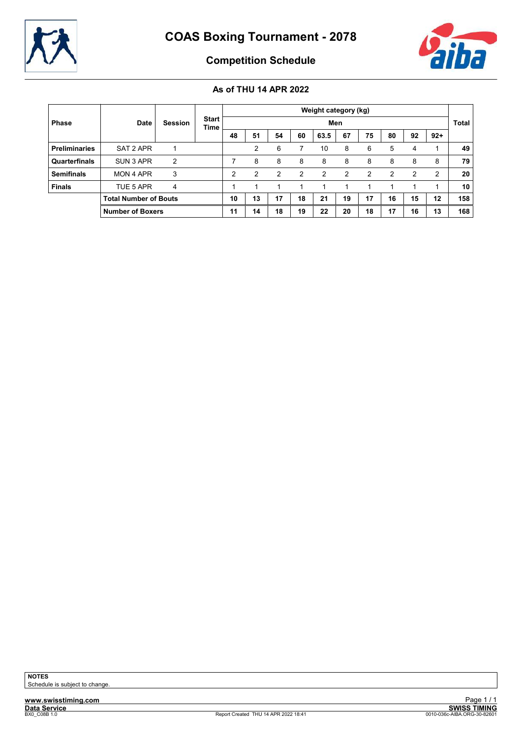



Competition Schedule

|                      |                              |                |                      |    |    |               |               | Weight category (kg) |               |               |    |               |       |              |
|----------------------|------------------------------|----------------|----------------------|----|----|---------------|---------------|----------------------|---------------|---------------|----|---------------|-------|--------------|
| <b>Phase</b>         | <b>Date</b>                  | <b>Session</b> | <b>Start</b><br>Time |    |    |               |               | Men                  |               |               |    |               |       | <b>Total</b> |
|                      |                              |                |                      | 48 | 51 | 54            | 60            | 63.5                 | 67            | 75            | 80 | 92            | $92+$ |              |
| <b>Preliminaries</b> | SAT 2 APR                    |                |                      |    | 2  | 6             |               | 10                   | 8             | 6             | 5  | 4             | 1     | 49           |
| Quarterfinals        | SUN 3 APR                    | 2              |                      |    | 8  | 8             | 8             | 8                    | 8             | 8             | 8  | 8             | 8     | 79           |
| <b>Semifinals</b>    | MON 4 APR                    | 3              |                      | 2  | 2  | $\mathcal{P}$ | $\mathcal{P}$ | $\mathcal{P}$        | $\mathcal{P}$ | $\mathcal{P}$ | 2  | $\mathcal{P}$ | 2     | 20           |
| <b>Finals</b>        | TUE 5 APR                    | 4              |                      |    |    |               |               | 1                    | 1             |               |    |               |       | 10           |
|                      | <b>Total Number of Bouts</b> |                |                      | 10 | 13 | 17            | 18            | 21                   | 19            | 17            | 16 | 15            | 12    | 158          |
|                      | <b>Number of Boxers</b>      |                |                      | 11 | 14 | 18            | 19            | 22                   | 20            | 18            | 17 | 16            | 13    | 168          |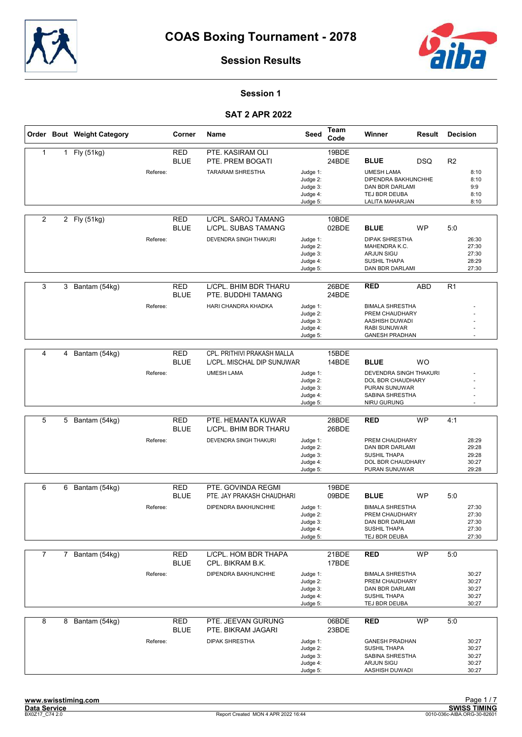



### Session 1

|                |                | Order Bout Weight Category |          | Corner                    | Name                                                            | Seed                                                     | Team<br>Code   | Winner                                                                                                     | Result     | <b>Decision</b> |                                           |
|----------------|----------------|----------------------------|----------|---------------------------|-----------------------------------------------------------------|----------------------------------------------------------|----------------|------------------------------------------------------------------------------------------------------------|------------|-----------------|-------------------------------------------|
| $\mathbf{1}$   |                | 1 Fly (51kg)               | Referee: | <b>RED</b><br><b>BLUE</b> | PTE. KASIRAM OLI<br>PTE. PREM BOGATI<br><b>TARARAM SHRESTHA</b> | Judge 1:                                                 | 19BDE<br>24BDE | <b>BLUE</b><br><b>UMESH LAMA</b>                                                                           | DSQ        | R <sub>2</sub>  | 8:10                                      |
|                |                |                            |          |                           |                                                                 | Judge 2:<br>Judge 3:<br>Judge 4:<br>Judge 5:             |                | DIPENDRA BAKHUNCHHE<br>DAN BDR DARLAMI<br>TEJ BDR DEUBA<br>LALITA MAHARJAN                                 |            |                 | 8:10<br>9:9<br>8:10<br>8:10               |
| 2              |                | 2 Fly (51kg)               |          | <b>RED</b><br><b>BLUE</b> | L/CPL. SAROJ TAMANG<br><b>L/CPL. SUBAS TAMANG</b>               |                                                          | 10BDE<br>02BDE | <b>BLUE</b>                                                                                                | <b>WP</b>  | 5:0             |                                           |
|                |                |                            | Referee: |                           | DEVENDRA SINGH THAKURI                                          | Judge 1:<br>Judge 2:<br>Judge 3:<br>Judge 4:<br>Judge 5: |                | <b>DIPAK SHRESTHA</b><br>MAHENDRA K.C.<br><b>ARJUN SIGU</b><br>SUSHIL THAPA<br>DAN BDR DARLAMI             |            |                 | 26:30<br>27:30<br>27:30<br>28:29<br>27:30 |
| 3              | 3              | Bantam (54kg)              |          | <b>RED</b><br><b>BLUE</b> | L/CPL. BHIM BDR THARU<br>PTE. BUDDHI TAMANG                     |                                                          | 26BDE<br>24BDE | <b>RED</b>                                                                                                 | <b>ABD</b> | R <sub>1</sub>  |                                           |
|                |                |                            | Referee: |                           | HARI CHANDRA KHADKA                                             | Judge 1:<br>Judge 2:<br>Judge 3:<br>Judge 4:<br>Judge 5: |                | <b>BIMALA SHRESTHA</b><br>PREM CHAUDHARY<br>AASHISH DUWADI<br><b>RABI SUNUWAR</b><br><b>GANESH PRADHAN</b> |            |                 | $\ddot{\phantom{1}}$                      |
|                |                |                            |          |                           |                                                                 |                                                          |                |                                                                                                            |            |                 |                                           |
| 4              | 4              | Bantam (54kg)              |          | <b>RED</b><br><b>BLUE</b> | CPL. PRITHIVI PRAKASH MALLA<br>L/CPL. MISCHAL DIP SUNUWAR       |                                                          | 15BDE<br>14BDE | <b>BLUE</b>                                                                                                | <b>WO</b>  |                 |                                           |
|                |                |                            | Referee: |                           | <b>UMESH LAMA</b>                                               | Judge 1:<br>Judge 2:<br>Judge 3:<br>Judge 4:<br>Judge 5: |                | DEVENDRA SINGH THAKURI<br>DOL BDR CHAUDHARY<br>PURAN SUNUWAR<br>SABINA SHRESTHA<br>NIRU GURUNG             |            |                 |                                           |
|                |                |                            |          |                           |                                                                 |                                                          |                |                                                                                                            |            |                 |                                           |
| 5              | 5              | Bantam (54kg)              |          | <b>RED</b><br><b>BLUE</b> | PTE. HEMANTA KUWAR<br>L/CPL. BHIM BDR THARU                     |                                                          | 28BDE<br>26BDE | <b>RED</b>                                                                                                 | <b>WP</b>  | 4:1             |                                           |
|                |                |                            | Referee: |                           | DEVENDRA SINGH THAKURI                                          | Judge 1:<br>Judge 2:<br>Judge 3:<br>Judge 4:<br>Judge 5: |                | PREM CHAUDHARY<br>DAN BDR DARLAMI<br>SUSHIL THAPA<br>DOL BDR CHAUDHARY<br>PURAN SUNUWAR                    |            |                 | 28:29<br>29:28<br>29:28<br>30:27<br>29:28 |
|                |                |                            |          |                           |                                                                 |                                                          |                |                                                                                                            |            |                 |                                           |
| 6              | 6              | Bantam (54kg)              |          | <b>RED</b><br><b>BLUE</b> | PTE. GOVINDA REGMI<br>PTE. JAY PRAKASH CHAUDHARI                |                                                          | 19BDE<br>09BDE | <b>BLUE</b>                                                                                                | <b>WP</b>  | 5:0             |                                           |
|                |                |                            | Referee: |                           | DIPENDRA BAKHUNCHHE                                             | Judge 1:<br>Judge 2:<br>Judge 3:<br>Judge 4:<br>Judge 5: |                | <b>BIMALA SHRESTHA</b><br>PREM CHAUDHARY<br>DAN BDR DARLAMI<br>SUSHIL THAPA<br>TEJ BDR DEUBA               |            |                 | 27:30<br>27:30<br>27:30<br>27:30<br>27:30 |
| $\overline{7}$ | $\overline{7}$ | Bantam (54kg)              |          | <b>RED</b><br><b>BLUE</b> | L/CPL. HOM BDR THAPA<br>CPL. BIKRAM B.K.                        |                                                          | 21BDE<br>17BDE | <b>RED</b>                                                                                                 | <b>WP</b>  | 5:0             |                                           |
|                |                |                            | Referee: |                           | DIPENDRA BAKHUNCHHE                                             | Judge 1:<br>Judge 2:<br>Judge 3:<br>Judge 4:<br>Judge 5: |                | <b>BIMALA SHRESTHA</b><br>PREM CHAUDHARY<br>DAN BDR DARLAMI<br>SUSHIL THAPA<br>TEJ BDR DEUBA               |            |                 | 30:27<br>30:27<br>30:27<br>30:27<br>30:27 |
| 8              |                | 8 Bantam (54kg)            |          | <b>RED</b><br><b>BLUE</b> | PTE. JEEVAN GURUNG<br>PTE. BIKRAM JAGARI                        |                                                          | 06BDE<br>23BDE | <b>RED</b>                                                                                                 | <b>WP</b>  | 5:0             |                                           |
|                |                |                            | Referee: |                           | <b>DIPAK SHRESTHA</b>                                           | Judge 1:<br>Judge 2:<br>Judge 3:<br>Judge 4:<br>Judge 5: |                | <b>GANESH PRADHAN</b><br>SUSHIL THAPA<br>SABINA SHRESTHA<br><b>ARJUN SIGU</b><br>AASHISH DUWADI            |            |                 | 30:27<br>30:27<br>30:27<br>30:27<br>30:27 |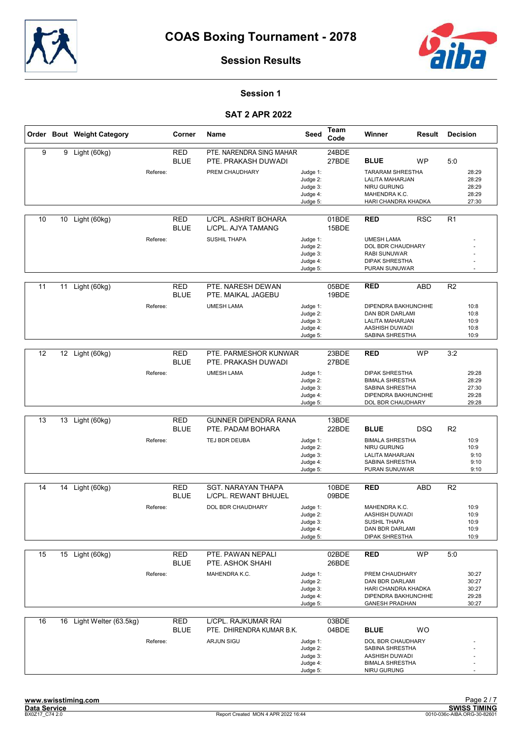



### Session 1

|    |    | Order Bout Weight Category |          | Corner                    | Name                                             | Seed                                                     | Team<br>Code   | Winner                                                                                                          | Result     | <b>Decision</b> |                                           |
|----|----|----------------------------|----------|---------------------------|--------------------------------------------------|----------------------------------------------------------|----------------|-----------------------------------------------------------------------------------------------------------------|------------|-----------------|-------------------------------------------|
| 9  | 9  | Light (60kg)               |          | <b>RED</b><br><b>BLUE</b> | PTE. NARENDRA SING MAHAR<br>PTE. PRAKASH DUWADI  |                                                          | 24BDE<br>27BDE | <b>BLUE</b>                                                                                                     | <b>WP</b>  | 5:0             |                                           |
|    |    |                            | Referee: |                           | PREM CHAUDHARY                                   | Judge 1:<br>Judge 2:<br>Judge 3:<br>Judge 4:<br>Judge 5: |                | <b>TARARAM SHRESTHA</b><br><b>LALITA MAHARJAN</b><br><b>NIRU GURUNG</b><br>MAHENDRA K.C.<br>HARI CHANDRA KHADKA |            |                 | 28:29<br>28:29<br>28:29<br>28:29<br>27:30 |
| 10 | 10 | Light (60kg)               |          | <b>RED</b><br><b>BLUE</b> | L/CPL. ASHRIT BOHARA<br>L/CPL. AJYA TAMANG       |                                                          | 01BDE<br>15BDE | <b>RED</b>                                                                                                      | <b>RSC</b> | R <sub>1</sub>  |                                           |
|    |    |                            | Referee: |                           | <b>SUSHIL THAPA</b>                              | Judge 1:<br>Judge 2:<br>Judge 3:<br>Judge 4:<br>Judge 5: |                | <b>UMESH LAMA</b><br>DOL BDR CHAUDHARY<br>RABI SUNUWAR<br>DIPAK SHRESTHA<br>PURAN SUNUWAR                       |            |                 |                                           |
| 11 | 11 | Light (60kg)               |          | <b>RED</b><br><b>BLUE</b> | PTE. NARESH DEWAN<br>PTE. MAIKAL JAGEBU          |                                                          | 05BDE<br>19BDE | <b>RED</b>                                                                                                      | <b>ABD</b> | R <sub>2</sub>  |                                           |
|    |    |                            | Referee: |                           | <b>UMESH LAMA</b>                                | Judge 1:<br>Judge 2:<br>Judge 3:<br>Judge 4:<br>Judge 5: |                | <b>DIPENDRA BAKHUNCHHE</b><br>DAN BDR DARLAMI<br>LALITA MAHARJAN<br>AASHISH DUWADI<br>SABINA SHRESTHA           |            |                 | 10:8<br>10:8<br>10:9<br>10:8<br>10:9      |
| 12 | 12 | Light (60kg)               |          | <b>RED</b>                | PTE. PARMESHOR KUNWAR                            |                                                          | 23BDE          | RED                                                                                                             | <b>WP</b>  | 3:2             |                                           |
|    |    |                            | Referee: | <b>BLUE</b>               | PTE. PRAKASH DUWADI<br><b>UMESH LAMA</b>         | Judge 1:<br>Judge 2:<br>Judge 3:<br>Judge 4:             | 27BDE          | <b>DIPAK SHRESTHA</b><br><b>BIMALA SHRESTHA</b><br>SABINA SHRESTHA<br>DIPENDRA BAKHUNCHHE                       |            |                 | 29:28<br>28:29<br>27:30<br>29:28          |
|    |    |                            |          |                           |                                                  | Judge 5:                                                 |                | DOL BDR CHAUDHARY                                                                                               |            |                 | 29:28                                     |
| 13 |    | 13 Light (60kg)            |          | <b>RED</b><br><b>BLUE</b> | <b>GUNNER DIPENDRA RANA</b><br>PTE. PADAM BOHARA |                                                          | 13BDE<br>22BDE | <b>BLUE</b>                                                                                                     | <b>DSQ</b> | R <sub>2</sub>  |                                           |
|    |    |                            | Referee: |                           | TEJ BDR DEUBA                                    | Judge 1:<br>Judge 2:<br>Judge 3:<br>Judge 4:<br>Judge 5: |                | <b>BIMALA SHRESTHA</b><br><b>NIRU GURUNG</b><br>LALITA MAHARJAN<br>SABINA SHRESTHA<br>PURAN SUNUWAR             |            |                 | 10:9<br>10:9<br>9:10<br>9:10<br>9:10      |
| 14 | 14 | Light (60kg)               |          | <b>RED</b>                | <b>SGT. NARAYAN THAPA</b>                        |                                                          | 10BDE          | <b>RED</b>                                                                                                      | <b>ABD</b> | R <sub>2</sub>  |                                           |
|    |    |                            |          | <b>BLUE</b>               | L/CPL. REWANT BHUJEL                             |                                                          | 09BDE          |                                                                                                                 |            |                 |                                           |
|    |    |                            | Referee: |                           | DOL BDR CHAUDHARY                                | Judge 1:<br>Judge 2:<br>Judge 3:<br>Judge 4:<br>Judge 5: |                | MAHENDRA K.C.<br>AASHISH DUWADI<br><b>SUSHIL THAPA</b><br>DAN BDR DARLAMI<br><b>DIPAK SHRESTHA</b>              |            |                 | 10:9<br>10:9<br>10:9<br>10:9<br>10:9      |
| 15 |    | 15 Light (60kg)            |          | <b>RED</b><br><b>BLUE</b> | PTE. PAWAN NEPALI<br>PTE. ASHOK SHAHI            |                                                          | 02BDE<br>26BDE | <b>RED</b>                                                                                                      | <b>WP</b>  | 5:0             |                                           |
|    |    |                            | Referee: |                           | MAHENDRA K.C.                                    | Judge 1:<br>Judge 2:<br>Judge 3:<br>Judge 4:<br>Judge 5: |                | PREM CHAUDHARY<br>DAN BDR DARLAMI<br>HARI CHANDRA KHADKA<br>DIPENDRA BAKHUNCHHE<br><b>GANESH PRADHAN</b>        |            |                 | 30:27<br>30:27<br>30:27<br>29:28<br>30:27 |
| 16 |    | 16 Light Welter (63.5kg)   |          | <b>RED</b>                | L/CPL. RAJKUMAR RAI                              |                                                          | 03BDE          |                                                                                                                 |            |                 |                                           |
|    |    |                            | Referee: | <b>BLUE</b>               | PTE. DHIRENDRA KUMAR B.K.<br><b>ARJUN SIGU</b>   | Judge 1:<br>Judge 2:<br>Judge 3:<br>Judge 4:<br>Judge 5: | 04BDE          | <b>BLUE</b><br>DOL BDR CHAUDHARY<br>SABINA SHRESTHA<br>AASHISH DUWADI<br><b>BIMALA SHRESTHA</b><br>NIRU GURUNG  | <b>WO</b>  |                 |                                           |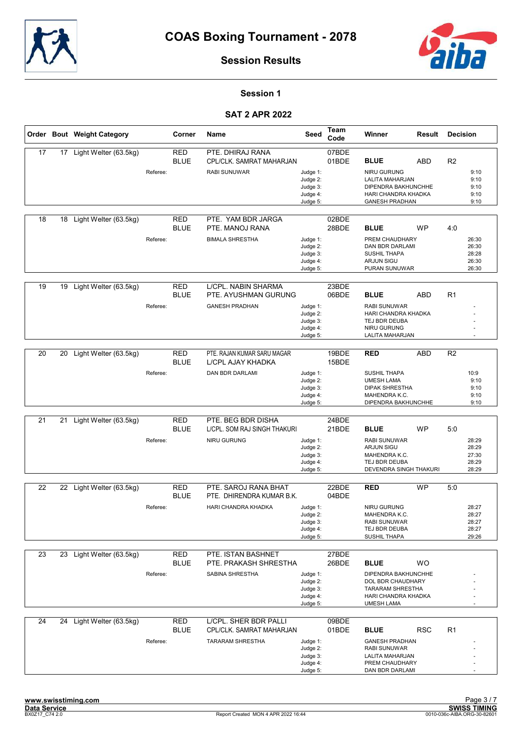



### Session 1

|    |    | Order Bout Weight Category |          | Corner                    | Name                                               | Seed                                                     | Team<br>Code   | Winner                                                                                                          | Result     | <b>Decision</b> |                                           |
|----|----|----------------------------|----------|---------------------------|----------------------------------------------------|----------------------------------------------------------|----------------|-----------------------------------------------------------------------------------------------------------------|------------|-----------------|-------------------------------------------|
| 17 | 17 | Light Welter (63.5kg)      |          | <b>RED</b><br><b>BLUE</b> | PTE. DHIRAJ RANA<br>CPL/CLK. SAMRAT MAHARJAN       |                                                          | 07BDE<br>01BDE | <b>BLUE</b>                                                                                                     | <b>ABD</b> | R <sub>2</sub>  |                                           |
|    |    |                            | Referee: |                           | <b>RABI SUNUWAR</b>                                | Judge 1:<br>Judge 2:<br>Judge 3:<br>Judge 4:<br>Judge 5: |                | <b>NIRU GURUNG</b><br>LALITA MAHARJAN<br>DIPENDRA BAKHUNCHHE<br>HARI CHANDRA KHADKA<br><b>GANESH PRADHAN</b>    |            |                 | 9:10<br>9:10<br>9:10<br>9:10<br>9:10      |
| 18 | 18 | Light Welter (63.5kg)      |          | <b>RED</b><br><b>BLUE</b> | PTE. YAM BDR JARGA<br>PTE. MANOJ RANA              |                                                          | 02BDE<br>28BDE | <b>BLUE</b>                                                                                                     | <b>WP</b>  | 4:0             |                                           |
|    |    |                            | Referee: |                           | <b>BIMALA SHRESTHA</b>                             | Judge 1:<br>Judge 2:<br>Judge 3:<br>Judge 4:<br>Judge 5: |                | PREM CHAUDHARY<br>DAN BDR DARLAMI<br><b>SUSHIL THAPA</b><br><b>ARJUN SIGU</b><br>PURAN SUNUWAR                  |            |                 | 26:30<br>26:30<br>28:28<br>26:30<br>26:30 |
| 19 | 19 | Light Welter (63.5kg)      |          | <b>RED</b><br><b>BLUE</b> | L/CPL. NABIN SHARMA<br>PTE. AYUSHMAN GURUNG        |                                                          | 23BDE<br>06BDE | <b>BLUE</b>                                                                                                     | ABD        | R1              |                                           |
|    |    |                            | Referee: |                           | <b>GANESH PRADHAN</b>                              | Judge 1:<br>Judge 2:<br>Judge 3:<br>Judge 4:<br>Judge 5: |                | <b>RABI SUNUWAR</b><br>HARI CHANDRA KHADKA<br>TEJ BDR DEUBA<br>NIRU GURUNG<br>LALITA MAHARJAN                   |            |                 |                                           |
| 20 | 20 | Light Welter (63.5kg)      |          | <b>RED</b>                | PTE. RAJAN KUMAR SARU MAGAR                        |                                                          | 19BDE          | <b>RED</b>                                                                                                      | <b>ABD</b> | R <sub>2</sub>  |                                           |
|    |    |                            | Referee: | <b>BLUE</b>               | L/CPL AJAY KHADKA<br>DAN BDR DARLAMI               | Judge 1:                                                 | 15BDE          | <b>SUSHIL THAPA</b>                                                                                             |            |                 | 10:9                                      |
|    |    |                            |          |                           |                                                    | Judge 2:<br>Judge 3:<br>Judge 4:<br>Judge 5:             |                | <b>UMESH LAMA</b><br><b>DIPAK SHRESTHA</b><br>MAHENDRA K.C.<br>DIPENDRA BAKHUNCHHE                              |            |                 | 9:10<br>9:10<br>9:10<br>9:10              |
|    |    |                            |          |                           |                                                    |                                                          |                |                                                                                                                 |            |                 |                                           |
| 21 | 21 | Light Welter (63.5kg)      |          | <b>RED</b><br><b>BLUE</b> | PTE. BEG BDR DISHA<br>LICPL. SOM RAJ SINGH THAKURI |                                                          | 24BDE<br>21BDE | <b>BLUE</b>                                                                                                     | <b>WP</b>  | 5:0             |                                           |
|    |    |                            | Referee: |                           | NIRU GURUNG                                        | Judge 1:<br>Judge 2:<br>Judge 3:<br>Judge 4:<br>Judge 5: |                | <b>RABI SUNUWAR</b><br><b>ARJUN SIGU</b><br>MAHENDRA K.C.<br>TEJ BDR DEUBA<br>DEVENDRA SINGH THAKURI            |            |                 | 28:29<br>28:29<br>27:30<br>28:29<br>28:29 |
|    |    |                            |          |                           |                                                    |                                                          |                |                                                                                                                 |            |                 |                                           |
| 22 |    | 22 Light Welter (63.5kg)   |          | <b>RED</b><br><b>BLUE</b> | PTE. SAROJ RANA BHAT<br>PTE. DHIRENDRA KUMAR B.K.  |                                                          | 22BDE<br>04BDE | <b>RED</b>                                                                                                      | <b>WP</b>  | 5:0             |                                           |
|    |    |                            | Referee: |                           | <b>HARI CHANDRA KHADKA</b>                         | Judge 1:<br>Judge 2:<br>Judge 3:<br>Judge 4:             |                | NIRU GURUNG<br>MAHENDRA K.C.<br><b>RABI SUNUWAR</b><br>TEJ BDR DEUBA                                            |            |                 | 28:27<br>28:27<br>28:27<br>28:27          |
|    |    |                            |          |                           |                                                    | Judge 5:                                                 |                | SUSHIL THAPA                                                                                                    |            |                 | 29:26                                     |
| 23 | 23 | Light Welter (63.5kg)      |          | <b>RED</b><br><b>BLUE</b> | PTE. ISTAN BASHNET<br>PTE. PRAKASH SHRESTHA        |                                                          | 27BDE<br>26BDE | <b>BLUE</b>                                                                                                     | <b>WO</b>  |                 |                                           |
|    |    |                            | Referee: |                           | SABINA SHRESTHA                                    | Judge 1:<br>Judge 2:<br>Judge 3:<br>Judge 4:<br>Judge 5: |                | DIPENDRA BAKHUNCHHE<br>DOL BDR CHAUDHARY<br><b>TARARAM SHRESTHA</b><br>HARI CHANDRA KHADKA<br><b>UMESH LAMA</b> |            |                 |                                           |
| 24 |    | 24 Light Welter (63.5kg)   |          | <b>RED</b><br><b>BLUE</b> | L/CPL. SHER BDR PALLI<br>CPL/CLK. SAMRAT MAHARJAN  |                                                          | 09BDE<br>01BDE | <b>BLUE</b>                                                                                                     | <b>RSC</b> | R <sub>1</sub>  |                                           |
|    |    |                            | Referee: |                           | <b>TARARAM SHRESTHA</b>                            | Judge 1:<br>Judge 2:<br>Judge 3:<br>Judge 4:<br>Judge 5: |                | <b>GANESH PRADHAN</b><br><b>RABI SUNUWAR</b><br>LALITA MAHARJAN<br>PREM CHAUDHARY<br>DAN BDR DARLAMI            |            |                 |                                           |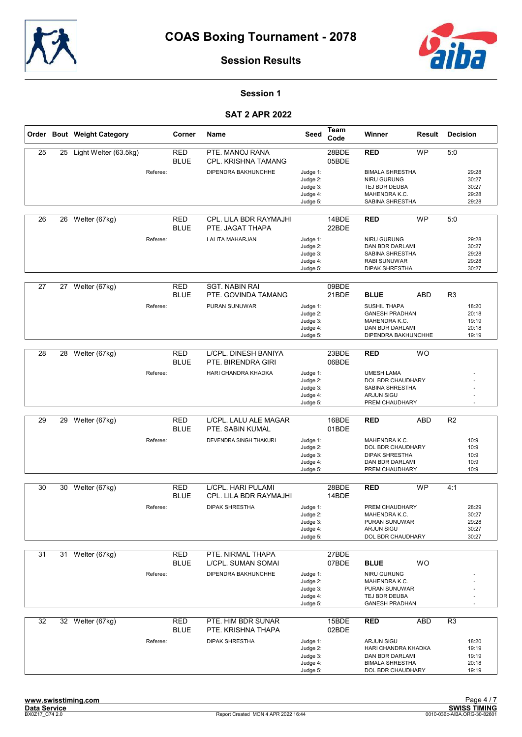



## Session 1

|    |    | Order Bout Weight Category |          | Corner                    | Name                                         | Seed                                                     | Team<br>Code   | Winner                                                                                                     | Result     | <b>Decision</b>                           |  |
|----|----|----------------------------|----------|---------------------------|----------------------------------------------|----------------------------------------------------------|----------------|------------------------------------------------------------------------------------------------------------|------------|-------------------------------------------|--|
| 25 | 25 | Light Welter (63.5kg)      |          | <b>RED</b><br><b>BLUE</b> | PTE. MANOJ RANA<br>CPL. KRISHNA TAMANG       |                                                          | 28BDE<br>05BDE | <b>RED</b>                                                                                                 | <b>WP</b>  | 5:0                                       |  |
|    |    |                            | Referee: |                           | DIPENDRA BAKHUNCHHE                          | Judge 1:<br>Judge 2:<br>Judge 3:<br>Judge 4:<br>Judge 5: |                | <b>BIMALA SHRESTHA</b><br>NIRU GURUNG<br>TEJ BDR DEUBA<br>MAHENDRA K.C.<br>SABINA SHRESTHA                 |            | 29:28<br>30:27<br>30:27<br>29:28<br>29:28 |  |
| 26 | 26 | Welter (67kg)              |          | <b>RED</b><br><b>BLUE</b> | CPL. LILA BDR RAYMAJHI<br>PTE. JAGAT THAPA   |                                                          | 14BDE<br>22BDE | <b>RED</b>                                                                                                 | <b>WP</b>  | 5:0                                       |  |
|    |    |                            | Referee: |                           | <b>LALITA MAHARJAN</b>                       | Judge 1:<br>Judge 2:<br>Judge 3:<br>Judge 4:<br>Judge 5: |                | <b>NIRU GURUNG</b><br><b>DAN BDR DARLAMI</b><br>SABINA SHRESTHA<br>RABI SUNUWAR<br><b>DIPAK SHRESTHA</b>   |            | 29:28<br>30:27<br>29:28<br>29:28<br>30:27 |  |
| 27 |    | 27 Welter (67kg)           |          | <b>RED</b><br><b>BLUE</b> | <b>SGT. NABIN RAI</b><br>PTE. GOVINDA TAMANG |                                                          | 09BDE<br>21BDE | <b>BLUE</b>                                                                                                | ABD        | R <sub>3</sub>                            |  |
|    |    |                            | Referee: |                           | PURAN SUNUWAR                                | Judge 1:<br>Judge 2:<br>Judge 3:<br>Judge 4:<br>Judge 5: |                | <b>SUSHIL THAPA</b><br><b>GANESH PRADHAN</b><br>MAHENDRA K.C.<br>DAN BDR DARLAMI<br>DIPENDRA BAKHUNCHHE    |            | 18:20<br>20:18<br>19:19<br>20:18<br>19:19 |  |
|    |    |                            |          |                           |                                              |                                                          |                |                                                                                                            |            |                                           |  |
| 28 | 28 | Welter (67kg)              |          | RED<br><b>BLUE</b>        | L/CPL. DINESH BANIYA<br>PTE. BIRENDRA GIRI   |                                                          | 23BDE<br>06BDE | <b>RED</b>                                                                                                 | <b>WO</b>  |                                           |  |
|    |    |                            | Referee: |                           | HARI CHANDRA KHADKA                          | Judge 1:<br>Judge 2:<br>Judge 3:<br>Judge 4:<br>Judge 5: |                | <b>UMESH LAMA</b><br>DOL BDR CHAUDHARY<br>SABINA SHRESTHA<br><b>ARJUN SIGU</b><br>PREM CHAUDHARY           |            |                                           |  |
|    |    |                            |          |                           |                                              |                                                          |                |                                                                                                            |            |                                           |  |
| 29 | 29 | Welter (67kg)              |          | RED<br><b>BLUE</b>        | L/CPL. LALU ALE MAGAR<br>PTE. SABIN KUMAL    |                                                          | 16BDE<br>01BDE | <b>RED</b>                                                                                                 | ABD        | R <sub>2</sub>                            |  |
|    |    |                            | Referee: |                           | DEVENDRA SINGH THAKURI                       | Judge 1:<br>Judge 2:<br>Judge 3:<br>Judge 4:<br>Judge 5: |                | MAHENDRA K.C.<br>DOL BDR CHAUDHARY<br><b>DIPAK SHRESTHA</b><br>DAN BDR DARLAMI<br>PREM CHAUDHARY           |            | 10:9<br>10:9<br>10:9<br>10:9<br>10:9      |  |
| 30 | 30 | Welter (67kg)              |          | <b>RED</b>                | L/CPL. HARI PULAMI                           |                                                          | 28BDE          | <b>RED</b>                                                                                                 | <b>WP</b>  | 4:1                                       |  |
|    |    |                            |          | <b>BLUE</b>               | CPL. LILA BDR RAYMAJHI                       |                                                          | 14BDE          |                                                                                                            |            |                                           |  |
|    |    |                            | Referee: |                           | <b>DIPAK SHRESTHA</b>                        | Judge 1:<br>Judge 2:<br>Judge 3:<br>Judge 4:             |                | PREM CHAUDHARY<br>MAHENDRA K.C.<br>PURAN SUNUWAR<br><b>ARJUN SIGU</b>                                      |            | 28:29<br>30:27<br>29:28<br>30:27          |  |
|    |    |                            |          |                           |                                              | Judge 5:                                                 |                | DOL BDR CHAUDHARY                                                                                          |            | 30:27                                     |  |
| 31 |    | 31 Welter (67kg)           |          | RED                       | PTE. NIRMAL THAPA                            |                                                          | 27BDE          |                                                                                                            |            |                                           |  |
|    |    |                            |          | <b>BLUE</b>               | L/CPL. SUMAN SOMAI                           |                                                          | 07BDE          | <b>BLUE</b>                                                                                                | <b>WO</b>  |                                           |  |
|    |    |                            | Referee: |                           | DIPENDRA BAKHUNCHHE                          | Judge 1:<br>Judge 2:<br>Judge 3:<br>Judge 4:<br>Judge 5: |                | NIRU GURUNG<br>MAHENDRA K.C.<br>PURAN SUNUWAR<br>TEJ BDR DEUBA<br><b>GANESH PRADHAN</b>                    |            |                                           |  |
| 32 |    | 32 Welter (67kg)           |          | <b>RED</b><br><b>BLUE</b> | PTE. HIM BDR SUNAR<br>PTE. KRISHNA THAPA     |                                                          | 15BDE<br>02BDE | RED                                                                                                        | <b>ABD</b> | R <sub>3</sub>                            |  |
|    |    |                            | Referee: |                           | <b>DIPAK SHRESTHA</b>                        | Judge 1:<br>Judge 2:<br>Judge 3:<br>Judge 4:<br>Judge 5: |                | <b>ARJUN SIGU</b><br>HARI CHANDRA KHADKA<br>DAN BDR DARLAMI<br><b>BIMALA SHRESTHA</b><br>DOL BDR CHAUDHARY |            | 18:20<br>19:19<br>19:19<br>20:18<br>19:19 |  |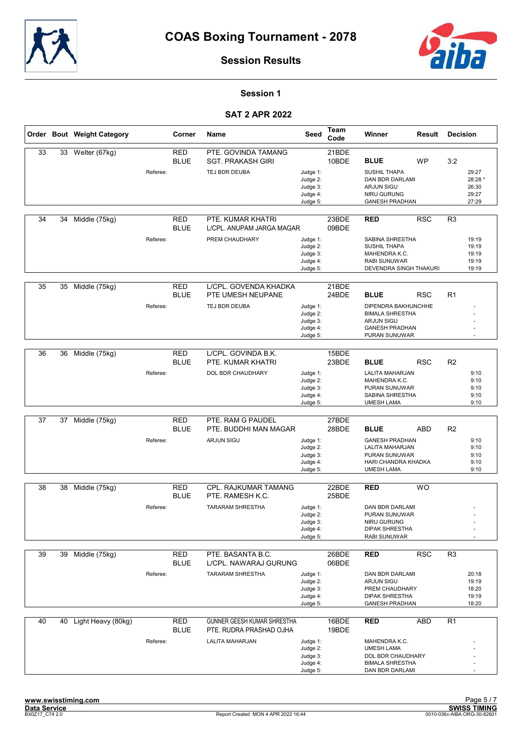



Session 1

|    |    | Order Bout Weight Category |          | Corner                    | <b>Name</b>                                                   | Seed                                                     | Team<br>Code   | Winner                                                                                                       | Result     | <b>Decision</b> |                                             |
|----|----|----------------------------|----------|---------------------------|---------------------------------------------------------------|----------------------------------------------------------|----------------|--------------------------------------------------------------------------------------------------------------|------------|-----------------|---------------------------------------------|
| 33 | 33 | Welter (67kg)              |          | <b>RED</b><br><b>BLUE</b> | PTE. GOVINDA TAMANG<br><b>SGT. PRAKASH GIRI</b>               |                                                          | 21BDE<br>10BDE | <b>BLUE</b>                                                                                                  | <b>WP</b>  | 3:2             |                                             |
|    |    |                            | Referee: |                           | TEJ BDR DEUBA                                                 | Judge 1:<br>Judge 2:<br>Judge 3:<br>Judge 4:<br>Judge 5: |                | <b>SUSHIL THAPA</b><br>DAN BDR DARLAMI<br><b>ARJUN SIGU</b><br>NIRU GURUNG<br><b>GANESH PRADHAN</b>          |            |                 | 29:27<br>28:28 *<br>26:30<br>29:27<br>27:29 |
| 34 | 34 | Middle (75kg)              |          | <b>RED</b><br><b>BLUE</b> | PTE. KUMAR KHATRI<br>L/CPL. ANUPAM JARGA MAGAR                |                                                          | 23BDE<br>09BDE | <b>RED</b>                                                                                                   | <b>RSC</b> | R <sub>3</sub>  |                                             |
|    |    |                            | Referee: |                           | PREM CHAUDHARY                                                | Judge 1:<br>Judge 2:<br>Judge 3:<br>Judge 4:<br>Judge 5: |                | SABINA SHRESTHA<br><b>SUSHIL THAPA</b><br>MAHENDRA K.C.<br><b>RABI SUNUWAR</b><br>DEVENDRA SINGH THAKURI     |            |                 | 19:19<br>19:19<br>19:19<br>19:19<br>19:19   |
| 35 | 35 | Middle (75kg)              |          | <b>RED</b><br><b>BLUE</b> | L/CPL. GOVENDA KHADKA<br>PTE UMESH NEUPANE                    |                                                          | 21BDE<br>24BDE | <b>BLUE</b>                                                                                                  | <b>RSC</b> | R <sub>1</sub>  |                                             |
|    |    |                            | Referee: |                           | TEJ BDR DEUBA                                                 | Judge 1:<br>Judge 2:<br>Judge 3:<br>Judge 4:<br>Judge 5: |                | DIPENDRA BAKHUNCHHE<br><b>BIMALA SHRESTHA</b><br><b>ARJUN SIGU</b><br><b>GANESH PRADHAN</b><br>PURAN SUNUWAR |            |                 |                                             |
| 36 | 36 | Middle (75kg)              |          | <b>RED</b><br><b>BLUE</b> | L/CPL. GOVINDA B.K.<br>PTE. KUMAR KHATRI                      |                                                          | 15BDE<br>23BDE | <b>BLUE</b>                                                                                                  | <b>RSC</b> | R <sub>2</sub>  |                                             |
|    |    |                            | Referee: |                           | DOL BDR CHAUDHARY                                             | Judge 1:<br>Judge 2:<br>Judge 3:<br>Judge 4:<br>Judge 5: |                | LALITA MAHARJAN<br>MAHENDRA K.C.<br>PURAN SUNUWAR<br>SABINA SHRESTHA<br><b>UMESH LAMA</b>                    |            |                 | 9:10<br>9:10<br>9:10<br>9:10<br>9:10        |
|    |    |                            |          |                           |                                                               |                                                          |                |                                                                                                              |            |                 |                                             |
| 37 | 37 | Middle (75kg)              |          | <b>RED</b><br><b>BLUE</b> | PTE. RAM G PAUDEL<br>PTE. BUDDHI MAN MAGAR                    |                                                          | 27BDE<br>28BDE | <b>BLUE</b>                                                                                                  | <b>ABD</b> | R <sub>2</sub>  |                                             |
|    |    |                            | Referee: |                           | <b>ARJUN SIGU</b>                                             | Judge 1:<br>Judge 2:<br>Judge 3:<br>Judge 4:<br>Judge 5: |                | <b>GANESH PRADHAN</b><br>LALITA MAHARJAN<br><b>PURAN SUNUWAR</b><br>HARI CHANDRA KHADKA<br><b>UMESH LAMA</b> |            |                 | 9:10<br>9:10<br>9:10<br>9:10<br>9:10        |
| 38 | 38 | Middle (75kg)              |          | <b>RED</b><br><b>BLUE</b> | <b>CPL. RAJKUMAR TAMANG</b><br>PTE. RAMESH K.C.               |                                                          | 22BDE<br>25BDE | <b>RED</b>                                                                                                   | <b>WO</b>  |                 |                                             |
|    |    |                            | Referee: |                           | <b>TARARAM SHRESTHA</b>                                       | Judge 1:<br>Judge 2:<br>Judge 3:<br>Judge 4:<br>Judge 5: |                | DAN BDR DARLAMI<br>PURAN SUNUWAR<br>NIRU GURUNG<br><b>DIPAK SHRESTHA</b><br>RABI SUNUWAR                     |            |                 |                                             |
| 39 | 39 | Middle (75kg)              |          | <b>RED</b><br><b>BLUE</b> | PTE. BASANTA B.C.<br>L/CPL. NAWARAJ GURUNG                    |                                                          | 26BDE<br>06BDE | <b>RED</b>                                                                                                   | <b>RSC</b> | R3              |                                             |
|    |    |                            | Referee: |                           | <b>TARARAM SHRESTHA</b>                                       | Judge 1:<br>Judge 2:<br>Judge 3:<br>Judge 4:<br>Judge 5: |                | DAN BDR DARLAMI<br><b>ARJUN SIGU</b><br>PREM CHAUDHARY<br><b>DIPAK SHRESTHA</b><br><b>GANESH PRADHAN</b>     |            |                 | 20:18<br>19:19<br>18:20<br>19:19<br>18:20   |
| 40 | 40 | Light Heavy (80kg)         |          | <b>RED</b><br><b>BLUE</b> | <b>GUNNER GEESH KUMAR SHRESTHA</b><br>PTE. RUDRA PRASHAD OJHA |                                                          | 16BDE<br>19BDE | <b>RED</b>                                                                                                   | <b>ABD</b> | R <sub>1</sub>  |                                             |
|    |    |                            | Referee: |                           | LALITA MAHARJAN                                               | Judge 1:<br>Judge 2:<br>Judge 3:<br>Judge 4:<br>Judge 5: |                | MAHENDRA K.C.<br><b>UMESH LAMA</b><br>DOL BDR CHAUDHARY<br><b>BIMALA SHRESTHA</b><br>DAN BDR DARLAMI         |            |                 |                                             |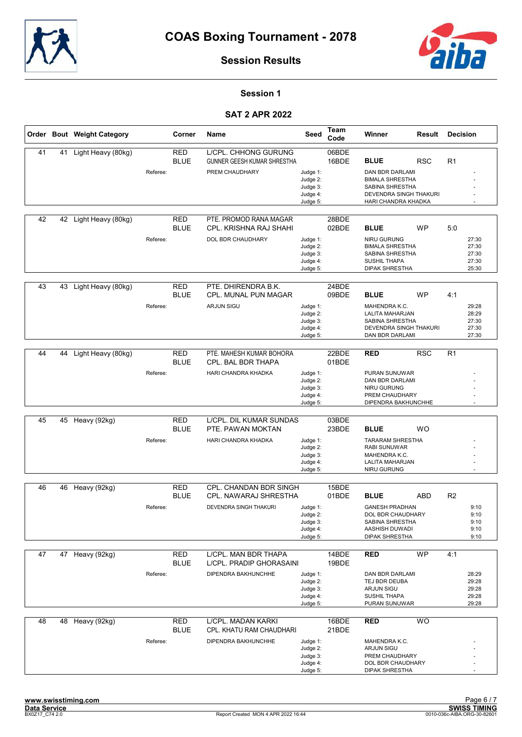



## Session 1

|    |    | Order Bout Weight Category |          | Corner                    | Name                                                              | Seed                                                     | Team<br>Code   | Winner                                                                                                        | <b>Result</b> | <b>Decision</b> |                                           |
|----|----|----------------------------|----------|---------------------------|-------------------------------------------------------------------|----------------------------------------------------------|----------------|---------------------------------------------------------------------------------------------------------------|---------------|-----------------|-------------------------------------------|
| 41 | 41 | Light Heavy (80kg)         |          | <b>RED</b><br><b>BLUE</b> | <b>L/CPL. CHHONG GURUNG</b><br><b>GUNNER GEESH KUMAR SHRESTHA</b> |                                                          | 06BDE<br>16BDE | <b>BLUE</b>                                                                                                   | <b>RSC</b>    | R <sub>1</sub>  |                                           |
|    |    |                            | Referee: |                           | PREM CHAUDHARY                                                    | Judge 1:<br>Judge 2:<br>Judge 3:<br>Judge 4:<br>Judge 5: |                | DAN BDR DARLAMI<br><b>BIMALA SHRESTHA</b><br>SABINA SHRESTHA<br>DEVENDRA SINGH THAKURI<br>HARI CHANDRA KHADKA |               |                 |                                           |
| 42 | 42 | Light Heavy (80kg)         |          | <b>RED</b><br><b>BLUE</b> | PTE. PROMOD RANA MAGAR<br>CPL. KRISHNA RAJ SHAHI                  |                                                          | 28BDE<br>02BDE | <b>BLUE</b>                                                                                                   | WP            | 5:0             |                                           |
|    |    |                            | Referee: |                           | DOL BDR CHAUDHARY                                                 | Judge 1:<br>Judge 2:<br>Judge 3:<br>Judge 4:<br>Judge 5: |                | NIRU GURUNG<br><b>BIMALA SHRESTHA</b><br>SABINA SHRESTHA<br><b>SUSHIL THAPA</b><br><b>DIPAK SHRESTHA</b>      |               |                 | 27:30<br>27:30<br>27:30<br>27:30<br>25:30 |
| 43 | 43 |                            |          | <b>RED</b>                | PTE. DHIRENDRA B.K.                                               |                                                          | 24BDE          |                                                                                                               |               |                 |                                           |
|    |    | Light Heavy (80kg)         |          | <b>BLUE</b>               | <b>CPL. MUNAL PUN MAGAR</b>                                       |                                                          | 09BDE          | <b>BLUE</b>                                                                                                   | <b>WP</b>     | 4:1             |                                           |
|    |    |                            | Referee: |                           | ARJUN SIGU                                                        | Judge 1:<br>Judge 2:<br>Judge 3:<br>Judge 4:<br>Judge 5: |                | MAHENDRA K.C.<br>LALITA MAHARJAN<br>SABINA SHRESTHA<br><b>DEVENDRA SINGH THAKURI</b><br>DAN BDR DARLAMI       |               |                 | 29:28<br>28:29<br>27:30<br>27:30<br>27:30 |
|    |    |                            |          |                           |                                                                   |                                                          |                |                                                                                                               |               |                 |                                           |
| 44 | 44 | Light Heavy (80kg)         |          | <b>RED</b><br><b>BLUE</b> | PTE. MAHESH KUMAR BOHORA<br>CPL. BAL BDR THAPA                    |                                                          | 22BDE<br>01BDE | <b>RED</b>                                                                                                    | <b>RSC</b>    | R <sub>1</sub>  |                                           |
|    |    |                            | Referee: |                           | HARI CHANDRA KHADKA                                               | Judge 1:                                                 |                | PURAN SUNUWAR<br>DAN BDR DARLAMI                                                                              |               |                 |                                           |
|    |    |                            |          |                           |                                                                   | Judge 2:<br>Judge 3:                                     |                | NIRU GURUNG                                                                                                   |               |                 |                                           |
|    |    |                            |          |                           |                                                                   | Judge 4:<br>Judge 5:                                     |                | PREM CHAUDHARY<br>DIPENDRA BAKHUNCHHE                                                                         |               |                 |                                           |
|    |    |                            |          |                           |                                                                   |                                                          |                |                                                                                                               |               |                 |                                           |
| 45 | 45 | Heavy (92kg)               |          | <b>RED</b><br><b>BLUE</b> | L/CPL. DIL KUMAR SUNDAS<br>PTE. PAWAN MOKTAN                      |                                                          | 03BDE<br>23BDE | <b>BLUE</b>                                                                                                   | <b>WO</b>     |                 |                                           |
|    |    |                            | Referee: |                           | HARI CHANDRA KHADKA                                               | Judge 1:                                                 |                | <b>TARARAM SHRESTHA</b>                                                                                       |               |                 |                                           |
|    |    |                            |          |                           |                                                                   | Judge 2:<br>Judge 3:                                     |                | <b>RABI SUNUWAR</b><br>MAHENDRA K.C.                                                                          |               |                 |                                           |
|    |    |                            |          |                           |                                                                   | Judge 4:<br>Judge 5:                                     |                | LALITA MAHARJAN<br>NIRU GURUNG                                                                                |               |                 |                                           |
| 46 | 46 |                            |          | <b>RED</b>                | CPL. CHANDAN BDR SINGH                                            |                                                          | 15BDE          |                                                                                                               |               |                 |                                           |
|    |    | Heavy (92kg)               |          | <b>BLUE</b>               | CPL. NAWARAJ SHRESTHA                                             |                                                          | 01BDE          | <b>BLUE</b>                                                                                                   | <b>ABD</b>    | R <sub>2</sub>  |                                           |
|    |    |                            | Referee: |                           | DEVENDRA SINGH THAKURI                                            | Judge 1:                                                 |                | <b>GANESH PRADHAN</b>                                                                                         |               |                 | 9:10                                      |
|    |    |                            |          |                           |                                                                   | Judge 2:<br>Judge 3:                                     |                | <b>DOL BDR CHAUDHARY</b><br>SABINA SHRESTHA                                                                   |               |                 | 9:10<br>9:10                              |
|    |    |                            |          |                           |                                                                   | Judge 4:<br>Judge 5:                                     |                | AASHISH DUWADI<br><b>DIPAK SHRESTHA</b>                                                                       |               |                 | 9:10<br>9:10                              |
|    |    |                            |          |                           |                                                                   |                                                          |                |                                                                                                               |               |                 |                                           |
| 47 | 47 | Heavy (92kg)               |          | <b>RED</b><br><b>BLUE</b> | L/CPL. MAN BDR THAPA<br>L/CPL. PRADIP GHORASAINI                  |                                                          | 14BDE<br>19BDE | <b>RED</b>                                                                                                    | <b>WP</b>     | 4:1             |                                           |
|    |    |                            | Referee: |                           | DIPENDRA BAKHUNCHHE                                               | Judge 1:                                                 |                | DAN BDR DARLAMI                                                                                               |               |                 | 28:29                                     |
|    |    |                            |          |                           |                                                                   | Judge 2:<br>Judge 3:                                     |                | TEJ BDR DEUBA<br><b>ARJUN SIGU</b>                                                                            |               |                 | 29:28<br>29:28                            |
|    |    |                            |          |                           |                                                                   | Judge 4:<br>Judge 5:                                     |                | SUSHIL THAPA<br>PURAN SUNUWAR                                                                                 |               |                 | 29:28<br>29:28                            |
| 48 |    | 48 Heavy (92kg)            |          | <b>RED</b><br><b>BLUE</b> | L/CPL. MADAN KARKI<br>CPL. KHATU RAM CHAUDHARI                    |                                                          | 16BDE<br>21BDE | RED                                                                                                           | <b>WO</b>     |                 |                                           |
|    |    |                            | Referee: |                           | DIPENDRA BAKHUNCHHE                                               | Judge 1:                                                 |                | MAHENDRA K.C.                                                                                                 |               |                 |                                           |
|    |    |                            |          |                           |                                                                   | Judge 2:<br>Judge 3:                                     |                | ARJUN SIGU<br>PREM CHAUDHARY                                                                                  |               |                 |                                           |
|    |    |                            |          |                           |                                                                   | Judge 4:<br>Judge 5:                                     |                | DOL BDR CHAUDHARY<br><b>DIPAK SHRESTHA</b>                                                                    |               |                 |                                           |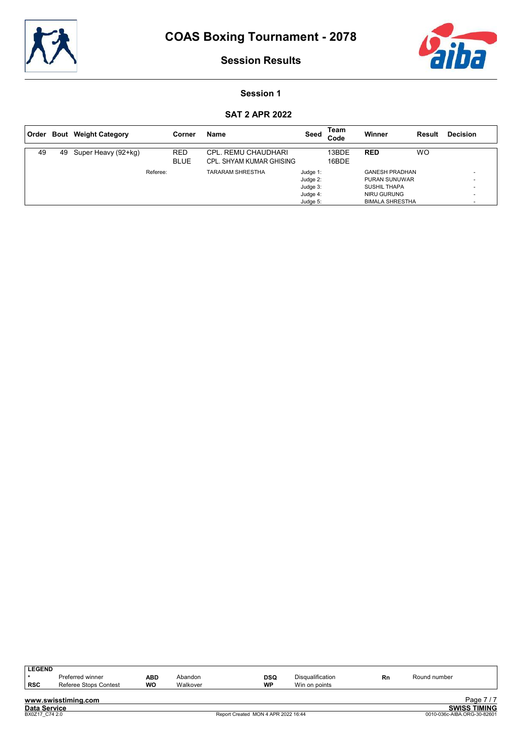



## Session 1

| Order |    | <b>Bout</b> Weight Category |          | Corner                    | <b>Name</b>                                     | Seed                 | Team<br>Code   | Winner                                      | Result    | <b>Decision</b> |
|-------|----|-----------------------------|----------|---------------------------|-------------------------------------------------|----------------------|----------------|---------------------------------------------|-----------|-----------------|
| 49    | 49 | Super Heavy (92+kg)         |          | <b>RED</b><br><b>BLUE</b> | CPL. REMU CHAUDHARI<br>CPL. SHYAM KUMAR GHISING |                      | 13BDE<br>16BDE | <b>RED</b>                                  | <b>WO</b> |                 |
|       |    |                             | Referee: |                           | <b>TARARAM SHRESTHA</b>                         | Judge 1:             |                | <b>GANESH PRADHAN</b>                       |           |                 |
|       |    |                             |          |                           |                                                 | Judge 2:<br>Judge 3: |                | <b>PURAN SUNUWAR</b><br><b>SUSHIL THAPA</b> |           |                 |
|       |    |                             |          |                           |                                                 | Judge 4:             |                | NIRU GURUNG                                 |           | ۰               |
|       |    |                             |          |                           |                                                 | Judge 5:             |                | <b>BIMALA SHRESTHA</b>                      |           |                 |

| <b>LEGEND</b>       |                       |     |          |                                     |                         |    |              |                             |
|---------------------|-----------------------|-----|----------|-------------------------------------|-------------------------|----|--------------|-----------------------------|
|                     | Preferred winner      | ABD | Abandon  | DSQ                                 | <b>Disqualification</b> | Rn | Round number |                             |
| <b>RSC</b>          | Referee Stops Contest | WO  | Walkover | <b>WP</b>                           | Win on points           |    |              |                             |
|                     |                       |     |          |                                     |                         |    |              |                             |
|                     | www.swisstiming.com   |     |          |                                     |                         |    |              | Page 7/7                    |
| <b>Data Service</b> |                       |     |          |                                     |                         |    |              | <b>SWISS TIMING</b>         |
| BX0Z17 C74 2.0      |                       |     |          | Report Created MON 4 APR 2022 16:44 |                         |    |              | 0010-036c-AIBA.ORG-30-82601 |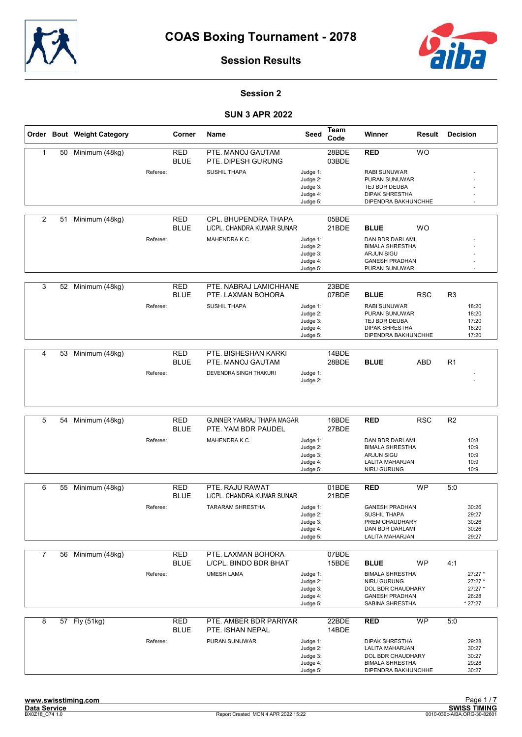



## Session 2

|                |    | Order Bout Weight Category |          | Corner                    | Name                                               | Seed                 | Team<br>Code   | Winner                                       | Result     | <b>Decision</b> |                |
|----------------|----|----------------------------|----------|---------------------------|----------------------------------------------------|----------------------|----------------|----------------------------------------------|------------|-----------------|----------------|
| $\mathbf{1}$   | 50 | Minimum (48kg)             |          | <b>RED</b><br><b>BLUE</b> | PTE. MANOJ GAUTAM<br>PTE. DIPESH GURUNG            |                      | 28BDE<br>03BDE | <b>RED</b>                                   | <b>WO</b>  |                 |                |
|                |    |                            | Referee: |                           | <b>SUSHIL THAPA</b>                                | Judge 1:             |                | <b>RABI SUNUWAR</b>                          |            |                 |                |
|                |    |                            |          |                           |                                                    | Judge 2:             |                | PURAN SUNUWAR                                |            |                 |                |
|                |    |                            |          |                           |                                                    | Judge 3:<br>Judge 4: |                | TEJ BDR DEUBA<br><b>DIPAK SHRESTHA</b>       |            |                 |                |
|                |    |                            |          |                           |                                                    | Judge 5:             |                | DIPENDRA BAKHUNCHHE                          |            |                 | $\sim$         |
|                |    |                            |          |                           |                                                    |                      |                |                                              |            |                 |                |
| 2              | 51 | Minimum (48kg)             |          | <b>RED</b><br><b>BLUE</b> | CPL. BHUPENDRA THAPA<br>L/CPL. CHANDRA KUMAR SUNAR |                      | 05BDE<br>21BDE | <b>BLUE</b>                                  | <b>WO</b>  |                 |                |
|                |    |                            | Referee: |                           | MAHENDRA K.C.                                      | Judge 1:             |                | DAN BDR DARLAMI                              |            |                 |                |
|                |    |                            |          |                           |                                                    | Judge 2:             |                | <b>BIMALA SHRESTHA</b>                       |            |                 |                |
|                |    |                            |          |                           |                                                    | Judge 3:<br>Judge 4: |                | <b>ARJUN SIGU</b><br><b>GANESH PRADHAN</b>   |            |                 |                |
|                |    |                            |          |                           |                                                    | Judge 5:             |                | PURAN SUNUWAR                                |            |                 |                |
|                |    |                            |          |                           |                                                    |                      |                |                                              |            |                 |                |
| 3              | 52 | Minimum (48kg)             |          | <b>RED</b><br><b>BLUE</b> | PTE. NABRAJ LAMICHHANE<br>PTE. LAXMAN BOHORA       |                      | 23BDE<br>07BDE | <b>BLUE</b>                                  | <b>RSC</b> | R <sub>3</sub>  |                |
|                |    |                            | Referee: |                           | <b>SUSHIL THAPA</b>                                | Judge 1:             |                | <b>RABI SUNUWAR</b>                          |            |                 | 18:20          |
|                |    |                            |          |                           |                                                    | Judge 2:             |                | <b>PURAN SUNUWAR</b>                         |            |                 | 18:20          |
|                |    |                            |          |                           |                                                    | Judge 3:             |                | TEJ BDR DEUBA                                |            |                 | 17:20          |
|                |    |                            |          |                           |                                                    | Judge 4:<br>Judge 5: |                | <b>DIPAK SHRESTHA</b><br>DIPENDRA BAKHUNCHHE |            |                 | 18:20<br>17:20 |
|                |    |                            |          |                           |                                                    |                      |                |                                              |            |                 |                |
| $\overline{4}$ | 53 | Minimum (48kg)             |          | <b>RED</b>                | PTE. BISHESHAN KARKI                               |                      | 14BDE          |                                              |            |                 |                |
|                |    |                            |          | <b>BLUE</b>               | PTE. MANOJ GAUTAM                                  |                      | 28BDE          | <b>BLUE</b>                                  | <b>ABD</b> | R1              |                |
|                |    |                            | Referee: |                           | DEVENDRA SINGH THAKURI                             | Judge 1:             |                |                                              |            |                 |                |
|                |    |                            |          |                           |                                                    | Judge 2:             |                |                                              |            |                 |                |
|                |    |                            |          |                           |                                                    |                      |                |                                              |            |                 |                |
|                |    |                            |          |                           |                                                    |                      |                |                                              |            |                 |                |
|                |    |                            |          |                           |                                                    |                      |                |                                              |            |                 |                |
| 5              | 54 | Minimum (48kg)             |          | <b>RED</b>                | <b>GUNNER YAMRAJ THAPA MAGAR</b>                   |                      | 16BDE          | <b>RED</b>                                   | <b>RSC</b> | R <sub>2</sub>  |                |
|                |    |                            |          | <b>BLUE</b>               | PTE. YAM BDR PAUDEL                                |                      | 27BDE          |                                              |            |                 |                |
|                |    |                            | Referee: |                           | MAHENDRA K.C.                                      | Judge 1:             |                | DAN BDR DARLAMI                              |            |                 | 10:8           |
|                |    |                            |          |                           |                                                    | Judge 2:             |                | <b>BIMALA SHRESTHA</b>                       |            |                 | 10:9           |
|                |    |                            |          |                           |                                                    | Judge 3:<br>Judge 4: |                | <b>ARJUN SIGU</b><br>LALITA MAHARJAN         |            |                 | 10:9<br>10:9   |
|                |    |                            |          |                           |                                                    | Judge 5:             |                | NIRU GURUNG                                  |            |                 | 10:9           |
|                |    |                            |          |                           |                                                    |                      |                |                                              |            |                 |                |
| 6              | 55 | Minimum (48kg)             |          | <b>RED</b>                | PTE. RAJU RAWAT                                    |                      | 01BDE          | <b>RED</b>                                   | <b>WP</b>  | 5:0             |                |
|                |    |                            |          | <b>BLUE</b>               | L/CPL. CHANDRA KUMAR SUNAR                         |                      | 21BDE          |                                              |            |                 |                |
|                |    |                            | Referee: |                           | <b>TARARAM SHRESTHA</b>                            | Judge 1:             |                | <b>GANESH PRADHAN</b>                        |            |                 | 30:26          |
|                |    |                            |          |                           |                                                    | Judge 2:             |                | <b>SUSHIL THAPA</b>                          |            |                 | 29:27          |
|                |    |                            |          |                           |                                                    | Judge 3:             |                | PREM CHAUDHARY                               |            |                 | 30:26          |
|                |    |                            |          |                           |                                                    | Judge 4:<br>Judge 5: |                | DAN BDR DARLAMI<br>LALITA MAHARJAN           |            |                 | 30:26<br>29:27 |
|                |    |                            |          |                           |                                                    |                      |                |                                              |            |                 |                |
| 7              | 56 | Minimum (48kg)             |          | <b>RED</b>                | PTE. LAXMAN BOHORA                                 |                      | 07BDE          |                                              |            |                 |                |
|                |    |                            |          | <b>BLUE</b>               | L/CPL. BINDO BDR BHAT                              |                      | 15BDE          | <b>BLUE</b>                                  | <b>WP</b>  | 4:1             |                |
|                |    |                            | Referee: |                           | <b>UMESH LAMA</b>                                  | Judge 1:             |                | <b>BIMALA SHRESTHA</b>                       |            |                 | 27:27 *        |
|                |    |                            |          |                           |                                                    | Judge 2:             |                | NIRU GURUNG                                  |            |                 | 27:27 *        |
|                |    |                            |          |                           |                                                    | Judge 3:             |                | DOL BDR CHAUDHARY                            |            |                 | 27:27 *        |
|                |    |                            |          |                           |                                                    | Judge 4:             |                | <b>GANESH PRADHAN</b>                        |            |                 | 26:28          |
|                |    |                            |          |                           |                                                    | Judge 5:             |                | SABINA SHRESTHA                              |            |                 | * 27:27        |
| 8              |    | 57 Fly (51kg)              |          | <b>RED</b>                | PTE. AMBER BDR PARIYAR                             |                      | 22BDE          | <b>RED</b>                                   | <b>WP</b>  | 5:0             |                |
|                |    |                            |          | <b>BLUE</b>               | PTE. ISHAN NEPAL                                   |                      | 14BDE          |                                              |            |                 |                |
|                |    |                            | Referee: |                           | PURAN SUNUWAR                                      | Judge 1:             |                | <b>DIPAK SHRESTHA</b>                        |            |                 | 29:28          |
|                |    |                            |          |                           |                                                    | Judge 2:             |                | LALITA MAHARJAN                              |            |                 | 30:27          |
|                |    |                            |          |                           |                                                    | Judge 3:<br>Judge 4: |                | DOL BDR CHAUDHARY<br><b>BIMALA SHRESTHA</b>  |            |                 | 30:27<br>29:28 |
|                |    |                            |          |                           |                                                    | Judge 5:             |                | DIPENDRA BAKHUNCHHE                          |            |                 | 30:27          |
|                |    |                            |          |                           |                                                    |                      |                |                                              |            |                 |                |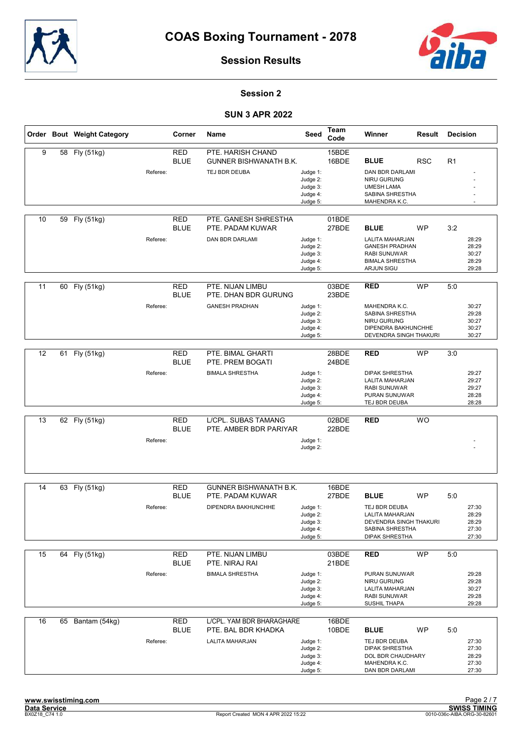



## Session 2

|    |    | Order Bout Weight Category |          | Corner                    | <b>Name</b>                                                  | Seed                                                     | Team<br>Code   | Winner                                                                                                                       | Result     | <b>Decision</b> |                                           |
|----|----|----------------------------|----------|---------------------------|--------------------------------------------------------------|----------------------------------------------------------|----------------|------------------------------------------------------------------------------------------------------------------------------|------------|-----------------|-------------------------------------------|
| 9  | 58 | Fly (51kg)                 | Referee: | <b>RED</b><br><b>BLUE</b> | PTE. HARISH CHAND<br>GUNNER BISHWANATH B.K.<br>TEJ BDR DEUBA | Judge 1:<br>Judge 2:<br>Judge 3:                         | 15BDE<br>16BDE | <b>BLUE</b><br><b>DAN BDR DARLAMI</b><br>NIRU GURUNG<br><b>UMESH LAMA</b>                                                    | <b>RSC</b> | R <sub>1</sub>  |                                           |
|    |    |                            |          |                           |                                                              | Judge 4:<br>Judge 5:                                     |                | SABINA SHRESTHA<br>MAHENDRA K.C.                                                                                             |            |                 |                                           |
| 10 | 59 | Fly (51kg)                 |          | <b>RED</b><br><b>BLUE</b> | PTE. GANESH SHRESTHA<br>PTE. PADAM KUWAR                     |                                                          | 01BDE<br>27BDE | <b>BLUE</b>                                                                                                                  | <b>WP</b>  | 3:2             |                                           |
|    |    |                            | Referee: |                           | <b>DAN BDR DARLAMI</b>                                       | Judge 1:<br>Judge 2:<br>Judge 3:<br>Judge 4:<br>Judge 5: |                | <b>LALITA MAHARJAN</b><br><b>GANESH PRADHAN</b><br><b>RABI SUNUWAR</b><br><b>BIMALA SHRESTHA</b><br><b>ARJUN SIGU</b>        |            |                 | 28:29<br>28:29<br>30:27<br>28:29<br>29:28 |
| 11 |    | 60 Fly (51kg)              |          | <b>RED</b><br><b>BLUE</b> | PTE. NIJAN LIMBU<br>PTE. DHAN BDR GURUNG                     |                                                          | 03BDE<br>23BDE | <b>RED</b>                                                                                                                   | <b>WP</b>  | 5:0             |                                           |
|    |    |                            | Referee: |                           | <b>GANESH PRADHAN</b>                                        | Judge 1:<br>Judge 2:<br>Judge 3:<br>Judge 4:<br>Judge 5: |                | MAHENDRA K.C.<br>SABINA SHRESTHA<br>NIRU GURUNG<br>DIPENDRA BAKHUNCHHE<br>DEVENDRA SINGH THAKURI                             |            |                 | 30:27<br>29:28<br>30:27<br>30:27<br>30:27 |
| 12 | 61 | Fly (51kg)                 |          | <b>RED</b><br>BLUE        | PTE. BIMAL GHARTI<br>PTE. PREM BOGATI                        |                                                          | 28BDE<br>24BDE | <b>RED</b>                                                                                                                   | <b>WP</b>  | 3:0             |                                           |
|    |    |                            | Referee: |                           | <b>BIMALA SHRESTHA</b>                                       | Judge 1:<br>Judge 2:<br>Judge 3:<br>Judge 4:<br>Judge 5: |                | <b>DIPAK SHRESTHA</b><br>LALITA MAHARJAN<br><b>RABI SUNUWAR</b><br>PURAN SUNUWAR<br>TEJ BDR DEUBA                            |            |                 | 29:27<br>29:27<br>29:27<br>28:28<br>28:28 |
| 13 |    | 62 Fly (51kg)              |          | <b>RED</b><br><b>BLUE</b> | L/CPL. SUBAS TAMANG<br>PTE. AMBER BDR PARIYAR                |                                                          | 02BDE<br>22BDE | <b>RED</b>                                                                                                                   | <b>WO</b>  |                 |                                           |
|    |    |                            | Referee: |                           |                                                              | Judge 1:<br>Judge 2:                                     |                |                                                                                                                              |            |                 |                                           |
| 14 | 63 | Fly (51kg)                 |          | <b>RED</b>                | <b>GUNNER BISHWANATH B.K.</b>                                |                                                          | 16BDE          |                                                                                                                              |            |                 |                                           |
|    |    |                            | Referee: | <b>BLUE</b>               | PTE. PADAM KUWAR<br>DIPENDRA BAKHUNCHHE                      | Judge 1:<br>Judge 2:<br>Judge 3:<br>Judge 4:<br>Judge 5: | 27BDE          | <b>BLUE</b><br>TEJ BDR DEUBA<br><b>LALITA MAHARJAN</b><br>DEVENDRA SINGH THAKURI<br>SABINA SHRESTHA<br><b>DIPAK SHRESTHA</b> | <b>WP</b>  | 5:0             | 27:30<br>28:29<br>28:29<br>27:30<br>27:30 |
| 15 |    | 64 Fly (51kg)              |          | RED<br><b>BLUE</b>        | PTE. NIJAN LIMBU<br>PTE. NIRAJ RAI                           |                                                          | 03BDE<br>21BDE | <b>RED</b>                                                                                                                   | <b>WP</b>  | 5:0             |                                           |
|    |    |                            | Referee: |                           | <b>BIMALA SHRESTHA</b>                                       | Judge 1:<br>Judge 2:<br>Judge 3:<br>Judge 4:<br>Judge 5: |                | PURAN SUNUWAR<br>NIRU GURUNG<br>LALITA MAHARJAN<br><b>RABI SUNUWAR</b><br>SUSHIL THAPA                                       |            |                 | 29:28<br>29:28<br>30:27<br>29:28<br>29:28 |
| 16 | 65 | Bantam (54kg)              |          | <b>RED</b><br><b>BLUE</b> | L/CPL. YAM BDR BHARAGHARE<br>PTE. BAL BDR KHADKA             |                                                          | 16BDE<br>10BDE | <b>BLUE</b>                                                                                                                  | WP         | 5:0             |                                           |
|    |    |                            | Referee: |                           | LALITA MAHARJAN                                              | Judge 1:<br>Judge 2:<br>Judge 3:<br>Judge 4:<br>Judge 5: |                | TEJ BDR DEUBA<br><b>DIPAK SHRESTHA</b><br>DOL BDR CHAUDHARY<br>MAHENDRA K.C.<br>DAN BDR DARLAMI                              |            |                 | 27:30<br>27:30<br>28:29<br>27:30<br>27:30 |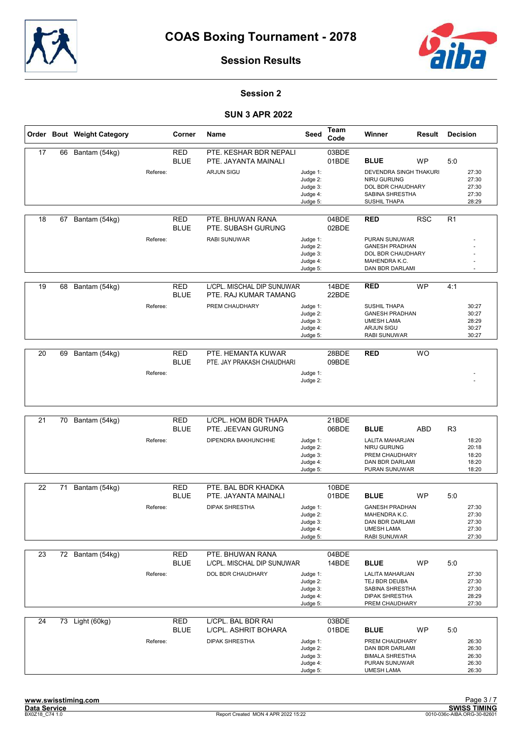



## Session 2

|    |    | Order Bout Weight Category |          | Corner                    | Name                                                | Seed                                                     | Team<br>Code   | Winner                                                                                                        | Result     | <b>Decision</b> |                                           |
|----|----|----------------------------|----------|---------------------------|-----------------------------------------------------|----------------------------------------------------------|----------------|---------------------------------------------------------------------------------------------------------------|------------|-----------------|-------------------------------------------|
| 17 | 66 | Bantam (54kg)              |          | <b>RED</b><br><b>BLUE</b> | PTE. KESHAR BDR NEPALI<br>PTE. JAYANTA MAINALI      |                                                          | 03BDE<br>01BDE | <b>BLUE</b>                                                                                                   | <b>WP</b>  | 5:0             |                                           |
|    |    |                            | Referee: |                           | <b>ARJUN SIGU</b>                                   | Judge 1:<br>Judge 2:<br>Judge 3:<br>Judge 4:<br>Judge 5: |                | <b>DEVENDRA SINGH THAKURI</b><br>NIRU GURUNG<br>DOL BDR CHAUDHARY<br>SABINA SHRESTHA<br>SUSHIL THAPA          |            |                 | 27:30<br>27:30<br>27:30<br>27:30<br>28:29 |
| 18 | 67 | Bantam (54kg)              |          | <b>RED</b><br><b>BLUE</b> | PTE. BHUWAN RANA<br>PTE. SUBASH GURUNG              |                                                          | 04BDE<br>02BDE | <b>RED</b>                                                                                                    | <b>RSC</b> | R1              |                                           |
|    |    |                            | Referee: |                           | <b>RABI SUNUWAR</b>                                 | Judge 1:<br>Judge 2:<br>Judge 3:<br>Judge 4:<br>Judge 5: |                | PURAN SUNUWAR<br><b>GANESH PRADHAN</b><br><b>DOL BDR CHAUDHARY</b><br>MAHENDRA K.C.<br>DAN BDR DARLAMI        |            |                 |                                           |
| 19 | 68 | Bantam (54kg)              |          | <b>RED</b><br><b>BLUE</b> | L/CPL. MISCHAL DIP SUNUWAR<br>PTE. RAJ KUMAR TAMANG |                                                          | 14BDE<br>22BDE | <b>RED</b>                                                                                                    | <b>WP</b>  | 4:1             |                                           |
|    |    |                            | Referee: |                           | PREM CHAUDHARY                                      | Judge 1:<br>Judge 2:<br>Judge 3:<br>Judge 4:<br>Judge 5: |                | <b>SUSHIL THAPA</b><br><b>GANESH PRADHAN</b><br><b>UMESH LAMA</b><br><b>ARJUN SIGU</b><br><b>RABI SUNUWAR</b> |            |                 | 30:27<br>30:27<br>28:29<br>30:27<br>30:27 |
| 20 | 69 | Bantam (54kg)              |          | <b>RED</b><br><b>BLUE</b> | PTE. HEMANTA KUWAR<br>PTE. JAY PRAKASH CHAUDHARI    |                                                          | 28BDE<br>09BDE | <b>RED</b>                                                                                                    | <b>WO</b>  |                 |                                           |
|    |    |                            | Referee: |                           |                                                     | Judge 1:<br>Judge 2:                                     |                |                                                                                                               |            |                 |                                           |
| 21 | 70 | Bantam (54kg)              |          | <b>RED</b>                | L/CPL. HOM BDR THAPA                                |                                                          | 21BDE          |                                                                                                               |            |                 |                                           |
|    |    |                            | Referee: | <b>BLUE</b>               | PTE. JEEVAN GURUNG<br>DIPENDRA BAKHUNCHHE           | Judge 1:<br>Judge 2:<br>Judge 3:<br>Judge 4:<br>Judge 5: | 06BDE          | <b>BLUE</b><br>LALITA MAHARJAN<br>NIRU GURUNG<br>PREM CHAUDHARY<br>DAN BDR DARLAMI<br>PURAN SUNUWAR           | <b>ABD</b> | R <sub>3</sub>  | 18:20<br>20:18<br>18:20<br>18:20<br>18:20 |
| 22 | 71 | Bantam (54kg)              |          | <b>RED</b>                | PTE. BAL BDR KHADKA                                 |                                                          | 10BDE          |                                                                                                               |            |                 |                                           |
|    |    |                            | Referee: | <b>BLUE</b>               | PTE. JAYANTA MAINALI<br><b>DIPAK SHRESTHA</b>       | Judge 1:<br>Judge 2:<br>Judge 3:<br>Judge 4:<br>Judge 5: | 01BDE          | <b>BLUE</b><br><b>GANESH PRADHAN</b><br>MAHENDRA K.C.<br>DAN BDR DARLAMI<br><b>UMESH LAMA</b><br>RABI SUNUWAR | <b>WP</b>  | 5:0             | 27:30<br>27:30<br>27:30<br>27:30<br>27:30 |
| 23 |    | 72 Bantam (54kg)           |          | <b>RED</b><br><b>BLUE</b> | PTE. BHUWAN RANA<br>L/CPL. MISCHAL DIP SUNUWAR      |                                                          | 04BDE<br>14BDE | <b>BLUE</b>                                                                                                   | <b>WP</b>  | 5:0             |                                           |
|    |    |                            | Referee: |                           | DOL BDR CHAUDHARY                                   | Judge 1:<br>Judge 2:<br>Judge 3:<br>Judge 4:<br>Judge 5: |                | LALITA MAHARJAN<br>TEJ BDR DEUBA<br>SABINA SHRESTHA<br><b>DIPAK SHRESTHA</b><br>PREM CHAUDHARY                |            |                 | 27:30<br>27:30<br>27:30<br>28:29<br>27:30 |
| 24 |    | 73 Light (60kg)            |          | <b>RED</b><br><b>BLUE</b> | L/CPL. BAL BDR RAI<br>L/CPL. ASHRIT BOHARA          |                                                          | 03BDE<br>01BDE | <b>BLUE</b>                                                                                                   | <b>WP</b>  | 5:0             |                                           |
|    |    |                            | Referee: |                           | <b>DIPAK SHRESTHA</b>                               | Judge 1:<br>Judge 2:<br>Judge 3:<br>Judge 4:<br>Judge 5: |                | PREM CHAUDHARY<br>DAN BDR DARLAMI<br><b>BIMALA SHRESTHA</b><br>PURAN SUNUWAR<br><b>UMESH LAMA</b>             |            |                 | 26:30<br>26:30<br>26:30<br>26:30<br>26:30 |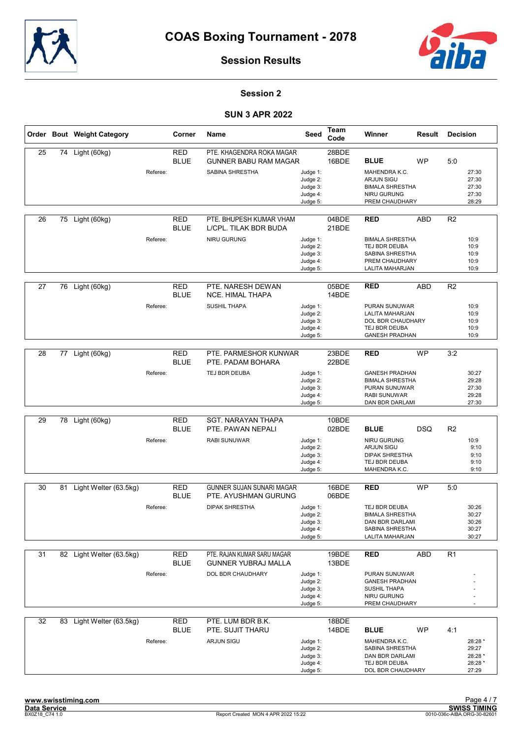



## Session 2

|    |    | Order Bout Weight Category |          | Corner                    | Name                                                      | Seed                                                     | Team<br>Code   | Winner                                                                                                     | Result     | <b>Decision</b>                                 |
|----|----|----------------------------|----------|---------------------------|-----------------------------------------------------------|----------------------------------------------------------|----------------|------------------------------------------------------------------------------------------------------------|------------|-------------------------------------------------|
| 25 |    | 74 Light (60kg)            |          | <b>RED</b><br><b>BLUE</b> | PTE. KHAGENDRA ROKA MAGAR<br><b>GUNNER BABU RAM MAGAR</b> |                                                          | 28BDE<br>16BDE | <b>BLUE</b>                                                                                                | <b>WP</b>  | 5:0                                             |
|    |    |                            | Referee: |                           | <b>SABINA SHRESTHA</b>                                    | Judge 1:<br>Judge 2:<br>Judge 3:<br>Judge 4:             |                | MAHENDRA K.C.<br><b>ARJUN SIGU</b><br><b>BIMALA SHRESTHA</b><br>NIRU GURUNG<br>PREM CHAUDHARY              |            | 27:30<br>27:30<br>27:30<br>27:30<br>28:29       |
|    |    |                            |          |                           |                                                           | Judge 5:                                                 |                |                                                                                                            |            |                                                 |
| 26 |    | 75 Light (60kg)            |          | <b>RED</b><br><b>BLUE</b> | PTE. BHUPESH KUMAR VHAM<br>L/CPL. TILAK BDR BUDA          |                                                          | 04BDE<br>21BDE | <b>RED</b>                                                                                                 | <b>ABD</b> | R <sub>2</sub>                                  |
|    |    |                            | Referee: |                           | NIRU GURUNG                                               | Judge 1:<br>Judge 2:<br>Judge 3:<br>Judge 4:<br>Judge 5: |                | <b>BIMALA SHRESTHA</b><br>TEJ BDR DEUBA<br>SABINA SHRESTHA<br>PREM CHAUDHARY<br>LALITA MAHARJAN            |            | 10:9<br>10:9<br>10:9<br>10:9<br>10:9            |
| 27 | 76 | Light (60kg)               |          | <b>RED</b><br><b>BLUE</b> | PTE. NARESH DEWAN<br><b>NCE. HIMAL THAPA</b>              |                                                          | 05BDE<br>14BDE | <b>RED</b>                                                                                                 | <b>ABD</b> | R2                                              |
|    |    |                            | Referee: |                           | <b>SUSHIL THAPA</b>                                       | Judge 1:<br>Judge 2:<br>Judge 3:<br>Judge 4:<br>Judge 5: |                | PURAN SUNUWAR<br>LALITA MAHARJAN<br>DOL BDR CHAUDHARY<br>TEJ BDR DEUBA<br><b>GANESH PRADHAN</b>            |            | 10:9<br>10:9<br>10:9<br>10:9<br>10:9            |
|    |    |                            |          |                           |                                                           |                                                          |                |                                                                                                            |            |                                                 |
| 28 | 77 | Light (60kg)               |          | <b>RED</b><br><b>BLUE</b> | PTE. PARMESHOR KUNWAR<br>PTE. PADAM BOHARA                |                                                          | 23BDE<br>22BDE | <b>RED</b>                                                                                                 | <b>WP</b>  | 3:2                                             |
|    |    |                            | Referee: |                           | TEJ BDR DEUBA                                             | Judge 1:<br>Judge 2:<br>Judge 3:<br>Judge 4:<br>Judge 5: |                | <b>GANESH PRADHAN</b><br><b>BIMALA SHRESTHA</b><br>PURAN SUNUWAR<br><b>RABI SUNUWAR</b><br>DAN BDR DARLAMI |            | 30:27<br>29:28<br>27:30<br>29:28<br>27:30       |
|    |    |                            |          |                           |                                                           |                                                          |                |                                                                                                            |            |                                                 |
| 29 | 78 | Light (60kg)               |          | <b>RED</b><br><b>BLUE</b> | <b>SGT. NARAYAN THAPA</b><br>PTE. PAWAN NEPALI            |                                                          | 10BDE<br>02BDE | <b>BLUE</b>                                                                                                | DSQ        | R <sub>2</sub>                                  |
|    |    |                            | Referee: |                           | <b>RABI SUNUWAR</b>                                       | Judge 1:<br>Judge 2:<br>Judge 3:<br>Judge 4:<br>Judge 5: |                | NIRU GURUNG<br><b>ARJUN SIGU</b><br><b>DIPAK SHRESTHA</b><br>TEJ BDR DEUBA<br>MAHENDRA K.C.                |            | 10:9<br>9:10<br>9:10<br>9:10<br>9:10            |
| 30 |    | 81 Light Welter (63.5kg)   |          | <b>RED</b>                | GUNNER SUJAN SUNARI MAGAR                                 |                                                          | 16BDE          | <b>RED</b>                                                                                                 | <b>WP</b>  | 5:0                                             |
|    |    |                            |          | <b>BLUE</b>               | PTE. AYUSHMAN GURUNG                                      |                                                          | 06BDE          |                                                                                                            |            |                                                 |
|    |    |                            | Referee: |                           | <b>DIPAK SHRESTHA</b>                                     | Judge 1:<br>Judge 2:<br>Judge 3:<br>Judge 4:<br>Judge 5: |                | TEJ BDR DEUBA<br><b>BIMALA SHRESTHA</b><br>DAN BDR DARLAMI<br>SABINA SHRESTHA<br>LALITA MAHARJAN           |            | 30:26<br>30:27<br>30:26<br>30:27<br>30:27       |
| 31 |    | 82 Light Welter (63.5kg)   |          | <b>RED</b>                | PTE. RAJAN KUMAR SARU MAGAR                               |                                                          | 19BDE          | <b>RED</b>                                                                                                 | <b>ABD</b> | R <sub>1</sub>                                  |
|    |    |                            |          | <b>BLUE</b>               | <b>GUNNER YUBRAJ MALLA</b>                                |                                                          | 13BDE          |                                                                                                            |            |                                                 |
|    |    |                            | Referee: |                           | DOL BDR CHAUDHARY                                         | Judge 1:<br>Judge 2:<br>Judge 3:<br>Judge 4:<br>Judge 5: |                | PURAN SUNUWAR<br><b>GANESH PRADHAN</b><br><b>SUSHIL THAPA</b><br>NIRU GURUNG<br>PREM CHAUDHARY             |            |                                                 |
| 32 |    | 83 Light Welter (63.5kg)   |          | <b>RED</b>                | PTE. LUM BDR B.K.                                         |                                                          | 18BDE          |                                                                                                            |            |                                                 |
|    |    |                            |          | <b>BLUE</b>               | PTE. SUJIT THARU                                          |                                                          | 14BDE          | <b>BLUE</b>                                                                                                | WP         | 4:1                                             |
|    |    |                            | Referee: |                           | ARJUN SIGU                                                | Judge 1:<br>Judge 2:<br>Judge 3:<br>Judge 4:<br>Judge 5: |                | MAHENDRA K.C.<br>SABINA SHRESTHA<br>DAN BDR DARLAMI<br>TEJ BDR DEUBA<br>DOL BDR CHAUDHARY                  |            | 28:28 *<br>29:27<br>28:28 *<br>28:28 *<br>27:29 |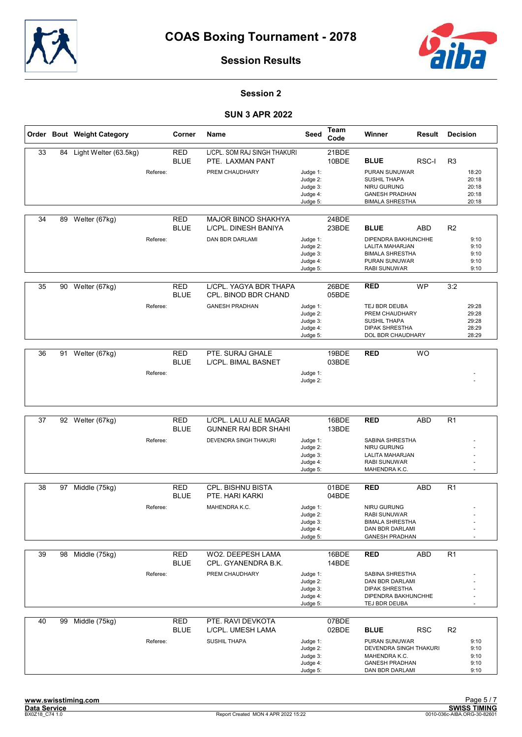



## Session 2

|    |    | Order Bout Weight Category |          | Corner                    | Name                                                 | Seed                                                     | Team<br>Code   | Winner                                                                                                   | Result     | <b>Decision</b> |                                           |
|----|----|----------------------------|----------|---------------------------|------------------------------------------------------|----------------------------------------------------------|----------------|----------------------------------------------------------------------------------------------------------|------------|-----------------|-------------------------------------------|
| 33 | 84 | Light Welter (63.5kg)      |          | <b>RED</b><br><b>BLUE</b> | L/CPL. SOM RAJ SINGH THAKURI<br>PTE. LAXMAN PANT     |                                                          | 21BDE<br>10BDE | <b>BLUE</b>                                                                                              | RSC-I      | R <sub>3</sub>  |                                           |
|    |    |                            | Referee: |                           | PREM CHAUDHARY                                       | Judge 1:<br>Judge 2:<br>Judge 3:<br>Judge 4:<br>Judge 5: |                | <b>PURAN SUNUWAR</b><br>SUSHIL THAPA<br>NIRU GURUNG<br><b>GANESH PRADHAN</b><br><b>BIMALA SHRESTHA</b>   |            |                 | 18:20<br>20:18<br>20:18<br>20:18<br>20:18 |
| 34 | 89 | Welter (67kg)              |          | <b>RED</b><br>BLUE        | <b>MAJOR BINOD SHAKHYA</b><br>L/CPL. DINESH BANIYA   |                                                          | 24BDE<br>23BDE | <b>BLUE</b>                                                                                              | <b>ABD</b> | R <sub>2</sub>  |                                           |
|    |    |                            | Referee: |                           | DAN BDR DARLAMI                                      | Judge 1:<br>Judge 2:<br>Judge 3:<br>Judge 4:<br>Judge 5: |                | DIPENDRA BAKHUNCHHE<br>LALITA MAHARJAN<br><b>BIMALA SHRESTHA</b><br>PURAN SUNUWAR<br><b>RABI SUNUWAR</b> |            |                 | 9:10<br>9:10<br>9:10<br>9:10<br>9:10      |
| 35 | 90 | Welter (67kg)              |          | <b>RED</b><br><b>BLUE</b> | L/CPL. YAGYA BDR THAPA<br>CPL. BINOD BDR CHAND       |                                                          | 26BDE<br>05BDE | <b>RED</b>                                                                                               | <b>WP</b>  | 3:2             |                                           |
|    |    |                            | Referee: |                           | <b>GANESH PRADHAN</b>                                | Judge 1:<br>Judge 2:<br>Judge 3:<br>Judge 4:<br>Judge 5: |                | TEJ BDR DEUBA<br>PREM CHAUDHARY<br><b>SUSHIL THAPA</b><br><b>DIPAK SHRESTHA</b><br>DOL BDR CHAUDHARY     |            |                 | 29:28<br>29:28<br>29:28<br>28:29<br>28:29 |
| 36 | 91 | Welter (67kg)              |          | <b>RED</b>                | PTE. SURAJ GHALE                                     |                                                          | 19BDE          | <b>RED</b>                                                                                               | <b>WO</b>  |                 |                                           |
|    |    |                            |          | <b>BLUE</b>               | L/CPL. BIMAL BASNET                                  |                                                          | 03BDE          |                                                                                                          |            |                 |                                           |
|    |    |                            | Referee: |                           |                                                      | Judge 1:<br>Judge 2:                                     |                |                                                                                                          |            |                 |                                           |
|    |    |                            |          |                           |                                                      |                                                          |                |                                                                                                          |            |                 |                                           |
| 37 | 92 | Welter (67kg)              |          | <b>RED</b><br><b>BLUE</b> | L/CPL. LALU ALE MAGAR<br><b>GUNNER RAI BDR SHAHI</b> |                                                          | 16BDE<br>13BDE | <b>RED</b>                                                                                               | <b>ABD</b> | R <sub>1</sub>  |                                           |
|    |    |                            | Referee: |                           | DEVENDRA SINGH THAKURI                               | Judge 1:<br>Judge 2:<br>Judge 3:<br>Judge 4:<br>Judge 5: |                | SABINA SHRESTHA<br>NIRU GURUNG<br>LALITA MAHARJAN<br><b>RABI SUNUWAR</b><br>MAHENDRA K.C.                |            |                 |                                           |
| 38 | 97 | Middle (75kg)              |          | <b>RED</b>                | CPL. BISHNU BISTA                                    |                                                          | 01BDE          | <b>RED</b>                                                                                               | <b>ABD</b> | R <sub>1</sub>  |                                           |
|    |    |                            |          | <b>BLUE</b>               | PTE. HARI KARKI                                      |                                                          | 04BDE          |                                                                                                          |            |                 |                                           |
|    |    |                            | Referee: |                           | MAHENDRA K.C.                                        | Judge 1:                                                 |                | <b>NIRU GURUNG</b>                                                                                       |            |                 |                                           |
|    |    |                            |          |                           |                                                      | Judge 2:<br>Judge 3:                                     |                | <b>RABI SUNUWAR</b><br><b>BIMALA SHRESTHA</b>                                                            |            |                 |                                           |
|    |    |                            |          |                           |                                                      | Judge 4:<br>Judge 5:                                     |                | DAN BDR DARLAMI<br><b>GANESH PRADHAN</b>                                                                 |            |                 |                                           |
| 39 |    | 98 Middle (75kg)           |          | RED<br><b>BLUE</b>        | WO2. DEEPESH LAMA<br>CPL. GYANENDRA B.K.             |                                                          | 16BDE<br>14BDE | <b>RED</b>                                                                                               | ABD        | R <sub>1</sub>  |                                           |
|    |    |                            | Referee: |                           | PREM CHAUDHARY                                       | Judge 1:                                                 |                | SABINA SHRESTHA                                                                                          |            |                 |                                           |
|    |    |                            |          |                           |                                                      | Judge 2:<br>Judge 3:                                     |                | DAN BDR DARLAMI<br><b>DIPAK SHRESTHA</b>                                                                 |            |                 |                                           |
|    |    |                            |          |                           |                                                      | Judge 4:<br>Judge 5:                                     |                | DIPENDRA BAKHUNCHHE<br>TEJ BDR DEUBA                                                                     |            |                 |                                           |
|    |    |                            |          |                           |                                                      |                                                          |                |                                                                                                          |            |                 |                                           |
| 40 | 99 | Middle (75kg)              |          | <b>RED</b><br>BLUE        | PTE. RAVI DEVKOTA<br>L/CPL. UMESH LAMA               |                                                          | 07BDE<br>02BDE | <b>BLUE</b>                                                                                              | <b>RSC</b> | R <sub>2</sub>  |                                           |
|    |    |                            | Referee: |                           | <b>SUSHIL THAPA</b>                                  | Judge 1:<br>Judge 2:<br>Judge 3:<br>Judge 4:             |                | PURAN SUNUWAR<br>DEVENDRA SINGH THAKURI<br>MAHENDRA K.C.<br><b>GANESH PRADHAN</b>                        |            |                 | 9:10<br>9:10<br>9:10<br>9:10              |
|    |    |                            |          |                           |                                                      | Judge 5:                                                 |                | DAN BDR DARLAMI                                                                                          |            |                 | 9:10                                      |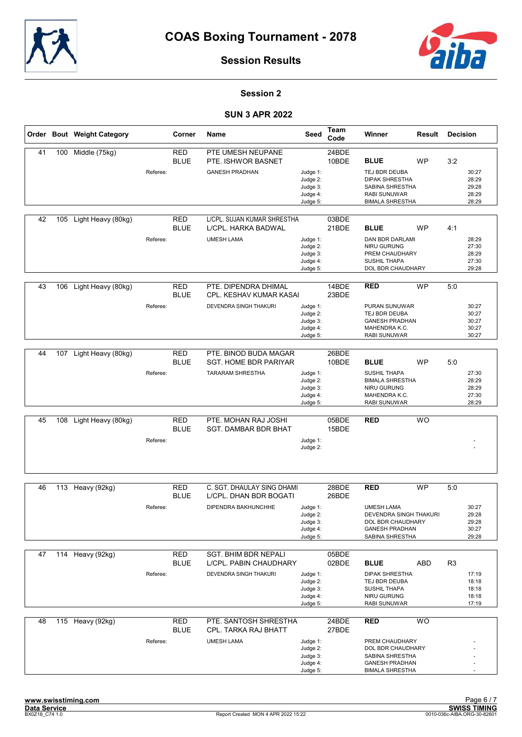



## Session 2

|    |     | Order Bout Weight Category |          | Corner                    | <b>Name</b>                                                                      | Seed                                                     | <b>Team</b><br>Code | Winner                                                                                                                           | Result    | <b>Decision</b> |                                           |
|----|-----|----------------------------|----------|---------------------------|----------------------------------------------------------------------------------|----------------------------------------------------------|---------------------|----------------------------------------------------------------------------------------------------------------------------------|-----------|-----------------|-------------------------------------------|
| 41 | 100 | Middle (75kg)              | Referee: | <b>RED</b><br><b>BLUE</b> | PTE UMESH NEUPANE<br>PTE. ISHWOR BASNET<br><b>GANESH PRADHAN</b>                 | Judge 1:<br>Judge 2:<br>Judge 3:<br>Judge 4:<br>Judge 5: | 24BDE<br>10BDE      | <b>BLUE</b><br>TEJ BDR DEUBA<br><b>DIPAK SHRESTHA</b><br><b>SABINA SHRESTHA</b><br><b>RABI SUNUWAR</b><br><b>BIMALA SHRESTHA</b> | <b>WP</b> | 3:2             | 30:27<br>28:29<br>29:28<br>28:29<br>28:29 |
| 42 | 105 | Light Heavy (80kg)         | Referee: | RED<br><b>BLUE</b>        | L/CPL. SUJAN KUMAR SHRESTHA<br>L/CPL. HARKA BADWAL<br><b>UMESH LAMA</b>          | Judge 1:<br>Judge 2:<br>Judge 3:<br>Judge 4:<br>Judge 5: | 03BDE<br>21BDE      | <b>BLUE</b><br>DAN BDR DARLAMI<br><b>NIRU GURUNG</b><br>PREM CHAUDHARY<br><b>SUSHIL THAPA</b><br>DOL BDR CHAUDHARY               | <b>WP</b> | 4:1             | 28:29<br>27:30<br>28:29<br>27:30<br>29:28 |
| 43 | 106 | Light Heavy (80kg)         | Referee: | <b>RED</b><br><b>BLUE</b> | PTE. DIPENDRA DHIMAL<br>CPL. KESHAV KUMAR KASAI<br>DEVENDRA SINGH THAKURI        | Judge 1:<br>Judge 2:<br>Judge 3:<br>Judge 4:<br>Judge 5: | 14BDE<br>23BDE      | <b>RED</b><br><b>PURAN SUNUWAR</b><br>TEJ BDR DEUBA<br><b>GANESH PRADHAN</b><br>MAHENDRA K.C.<br><b>RABI SUNUWAR</b>             | <b>WP</b> | 5:0             | 30:27<br>30:27<br>30:27<br>30:27<br>30:27 |
| 44 | 107 | Light Heavy (80kg)         | Referee: | <b>RED</b><br><b>BLUE</b> | PTE. BINOD BUDA MAGAR<br><b>SGT. HOME BDR PARIYAR</b><br><b>TARARAM SHRESTHA</b> | Judge 1:<br>Judge 2:<br>Judge 3:<br>Judge 4:<br>Judge 5: | 26BDE<br>10BDE      | <b>BLUE</b><br><b>SUSHIL THAPA</b><br><b>BIMALA SHRESTHA</b><br>NIRU GURUNG<br>MAHENDRA K.C.<br><b>RABI SUNUWAR</b>              | <b>WP</b> | 5:0             | 27:30<br>28:29<br>28:29<br>27:30<br>28:29 |
| 45 | 108 | Light Heavy (80kg)         | Referee: | <b>RED</b><br><b>BLUE</b> | PTE. MOHAN RAJ JOSHI<br><b>SGT. DAMBAR BDR BHAT</b>                              | Judge 1:<br>Judge 2:                                     | 05BDE<br>15BDE      | <b>RED</b>                                                                                                                       | <b>WO</b> |                 |                                           |
| 46 | 113 | Heavy (92kg)               | Referee: | <b>RED</b><br><b>BLUE</b> | C. SGT. DHAULAY SING DHAMI<br>L/CPL. DHAN BDR BOGATI<br>DIPENDRA BAKHUNCHHE      | Judge 1:<br>Judge 2:<br>Judge 3:<br>Judge 4:<br>Judge 5: | 28BDE<br>26BDE      | <b>RED</b><br><b>UMESH LAMA</b><br>DEVENDRA SINGH THAKURI<br>DOL BDR CHAUDHARY<br><b>GANESH PRADHAN</b><br>SABINA SHRESTHA       | <b>WP</b> | 5:0             | 30:27<br>29:28<br>29:28<br>30:27<br>29:28 |
| 47 |     | 114 Heavy (92kg)           | Referee: | RED<br><b>BLUE</b>        | <b>SGT. BHIM BDR NEPALI</b><br>L/CPL. PABIN CHAUDHARY<br>DEVENDRA SINGH THAKURI  | Judge 1:<br>Judge 2:<br>Judge 3:<br>Judge 4:<br>Judge 5: | 05BDE<br>02BDE      | <b>BLUE</b><br><b>DIPAK SHRESTHA</b><br>TEJ BDR DEUBA<br><b>SUSHIL THAPA</b><br>NIRU GURUNG<br>RABI SUNUWAR                      | ABD       | R <sub>3</sub>  | 17:19<br>18:18<br>18:18<br>18:18<br>17:19 |
| 48 | 115 | Heavy (92kg)               | Referee: | <b>RED</b><br>BLUE        | PTE. SANTOSH SHRESTHA<br>CPL. TARKA RAJ BHATT<br><b>UMESH LAMA</b>               | Judge 1:<br>Judge 2:<br>Judge 3:<br>Judge 4:<br>Judge 5: | 24BDE<br>27BDE      | <b>RED</b><br>PREM CHAUDHARY<br>DOL BDR CHAUDHARY<br>SABINA SHRESTHA<br><b>GANESH PRADHAN</b><br><b>BIMALA SHRESTHA</b>          | <b>WO</b> |                 |                                           |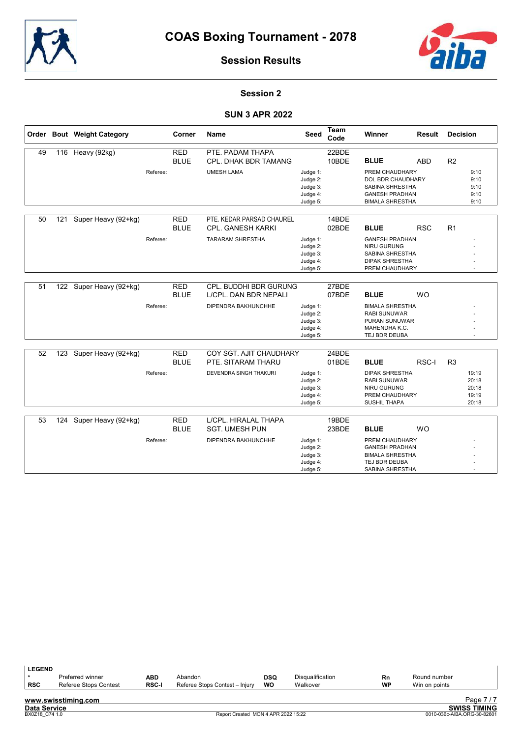



## Session 2

## SUN 3 APR 2022

|    |     | Order Bout Weight Category |          | Corner                    | Name                                            | Seed                                                     | <b>Team</b><br>Code | Winner                                                                                                    | <b>Result</b> | <b>Decision</b> |                                           |
|----|-----|----------------------------|----------|---------------------------|-------------------------------------------------|----------------------------------------------------------|---------------------|-----------------------------------------------------------------------------------------------------------|---------------|-----------------|-------------------------------------------|
| 49 |     | 116 Heavy (92kg)           |          | <b>RED</b>                | PTE. PADAM THAPA                                |                                                          | 22BDE               |                                                                                                           |               |                 |                                           |
|    |     |                            |          | <b>BLUE</b>               | <b>CPL. DHAK BDR TAMANG</b>                     |                                                          | 10BDE               | <b>BLUE</b>                                                                                               | <b>ABD</b>    | R <sub>2</sub>  |                                           |
|    |     |                            | Referee: |                           | <b>UMESH LAMA</b>                               | Judge 1:<br>Judge 2:<br>Judge 3:<br>Judge 4:<br>Judge 5: |                     | PREM CHAUDHARY<br>DOL BDR CHAUDHARY<br>SABINA SHRESTHA<br><b>GANESH PRADHAN</b><br><b>BIMALA SHRESTHA</b> |               |                 | 9:10<br>9:10<br>9:10<br>9:10<br>9:10      |
| 50 | 121 | Super Heavy (92+kg)        |          | <b>RED</b>                | PTE. KEDAR PARSAD CHAUREL                       |                                                          | 14BDE               |                                                                                                           |               |                 |                                           |
|    |     |                            |          | <b>BLUE</b>               | <b>CPL. GANESH KARKI</b>                        |                                                          | 02BDE               | <b>BLUE</b>                                                                                               | <b>RSC</b>    | R1              |                                           |
|    |     |                            | Referee: |                           | <b>TARARAM SHRESTHA</b>                         | Judge 1:<br>Judge 2:<br>Judge 3:<br>Judge 4:<br>Judge 5: |                     | <b>GANESH PRADHAN</b><br><b>NIRU GURUNG</b><br>SABINA SHRESTHA<br><b>DIPAK SHRESTHA</b><br>PREM CHAUDHARY |               |                 |                                           |
| 51 | 122 | Super Heavy (92+kg)        |          | <b>RED</b><br><b>BLUE</b> | CPL. BUDDHI BDR GURUNG<br>L/CPL. DAN BDR NEPALI |                                                          | 27BDE<br>07BDE      | <b>BLUE</b>                                                                                               | <b>WO</b>     |                 |                                           |
|    |     |                            | Referee: |                           | DIPENDRA BAKHUNCHHE                             | Judge 1:<br>Judge 2:<br>Judge 3:<br>Judge 4:<br>Judge 5: |                     | <b>BIMALA SHRESTHA</b><br><b>RABI SUNUWAR</b><br>PURAN SUNUWAR<br>MAHENDRA K.C.<br>TEJ BDR DEUBA          |               |                 | $\ddot{\phantom{1}}$                      |
|    |     |                            |          |                           |                                                 |                                                          |                     |                                                                                                           |               |                 |                                           |
| 52 | 123 | Super Heavy (92+kg)        |          | <b>RED</b><br><b>BLUE</b> | COY SGT. AJIT CHAUDHARY<br>PTE. SITARAM THARU   |                                                          | 24BDE<br>01BDE      | <b>BLUE</b>                                                                                               | RSC-I         | R <sub>3</sub>  |                                           |
|    |     |                            | Referee: |                           | DEVENDRA SINGH THAKURI                          | Judge 1:<br>Judge 2:<br>Judge 3:<br>Judge 4:<br>Judge 5: |                     | <b>DIPAK SHRESTHA</b><br>RABI SUNUWAR<br><b>NIRU GURUNG</b><br>PREM CHAUDHARY<br>SUSHIL THAPA             |               |                 | 19:19<br>20:18<br>20:18<br>19:19<br>20:18 |
| 53 | 124 | Super Heavy (92+kg)        |          | <b>RED</b>                | L/CPL. HIRALAL THAPA                            |                                                          | 19BDE               |                                                                                                           |               |                 |                                           |
|    |     |                            |          | <b>BLUE</b>               | <b>SGT. UMESH PUN</b>                           |                                                          | 23BDE               | <b>BLUE</b>                                                                                               | <b>WO</b>     |                 |                                           |
|    |     |                            | Referee: |                           | DIPENDRA BAKHUNCHHE                             | Judge 1:<br>Judge 2:<br>Judge 3:<br>Judge 4:             |                     | PREM CHAUDHARY<br><b>GANESH PRADHAN</b><br><b>BIMALA SHRESTHA</b><br>TEJ BDR DEUBA                        |               |                 |                                           |

Judge 5:

SABINA SHRESTHA

-

| <b>LEGEND</b>       |                       |              |                                     |     |                         |    |               |                             |
|---------------------|-----------------------|--------------|-------------------------------------|-----|-------------------------|----|---------------|-----------------------------|
|                     | Preferred winner      | ABD          | Abandon                             | DSQ | <b>Disqualification</b> | Rn | Round number  |                             |
| <b>RSC</b>          | Referee Stops Contest | <b>RSC-I</b> | Referee Stops Contest - Injury      | WO  | Walkover                | WP | Win on points |                             |
|                     |                       |              |                                     |     |                         |    |               |                             |
|                     | www.swisstiming.com   |              |                                     |     |                         |    |               | Page 7/7                    |
| <b>Data Service</b> |                       |              |                                     |     |                         |    |               | <b>SWISS TIMING</b>         |
| BX0Z18 C74 1.0      |                       |              | Report Created MON 4 APR 2022 15:22 |     |                         |    |               | 0010-036c-AIBA.ORG-30-82601 |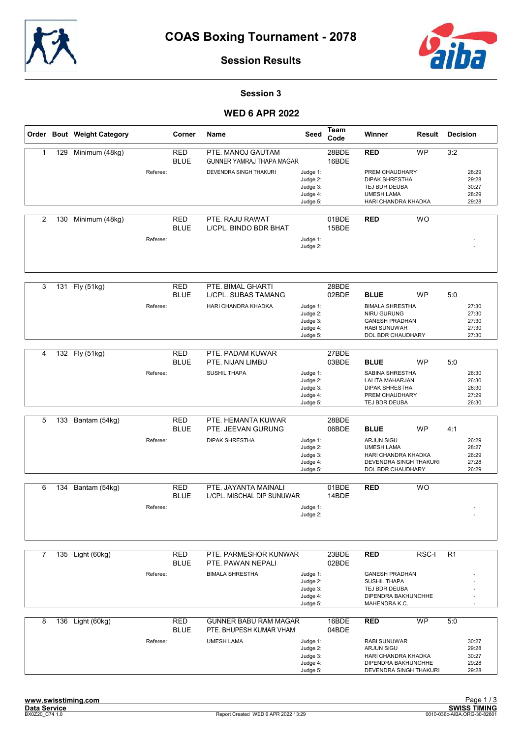



### Session 3

## **WED 6 APR 2022**

|              |     | Order Bout Weight Category |          | Corner                    | Name                                                    | Seed                                                     | Team<br>Code   | Winner                                                                                                            | Result    | <b>Decision</b>                                  |
|--------------|-----|----------------------------|----------|---------------------------|---------------------------------------------------------|----------------------------------------------------------|----------------|-------------------------------------------------------------------------------------------------------------------|-----------|--------------------------------------------------|
| $\mathbf{1}$ | 129 | Minimum (48kg)             |          | <b>RED</b><br><b>BLUE</b> | PTE. MANOJ GAUTAM<br><b>GUNNER YAMRAJ THAPA MAGAR</b>   |                                                          | 28BDE<br>16BDE | <b>RED</b>                                                                                                        | <b>WP</b> | 3:2                                              |
|              |     |                            | Referee: |                           | DEVENDRA SINGH THAKURI                                  | Judge 1:<br>Judge 2:<br>Judge 3:<br>Judge 4:<br>Judge 5: |                | PREM CHAUDHARY<br><b>DIPAK SHRESTHA</b><br>TEJ BDR DEUBA<br><b>UMESH LAMA</b><br>HARI CHANDRA KHADKA              |           | 28:29<br>29:28<br>30:27<br>28:29<br>29:28        |
| 2            | 130 | Minimum (48kg)             |          | <b>RED</b><br><b>BLUE</b> | PTE. RAJU RAWAT<br>L/CPL. BINDO BDR BHAT                |                                                          | 01BDE<br>15BDE | <b>RED</b>                                                                                                        | <b>WO</b> |                                                  |
|              |     |                            | Referee: |                           |                                                         | Judge 1:<br>Judge 2:                                     |                |                                                                                                                   |           |                                                  |
| 3            |     | 131 Fly (51kg)             |          | <b>RED</b><br><b>BLUE</b> | PTE. BIMAL GHARTI<br>L/CPL. SUBAS TAMANG                |                                                          | 28BDE<br>02BDE | <b>BLUE</b>                                                                                                       | <b>WP</b> | 5:0                                              |
|              |     |                            | Referee: |                           | HARI CHANDRA KHADKA                                     | Judge 1:<br>Judge 2:<br>Judge 3:<br>Judge 4:<br>Judge 5: |                | <b>BIMALA SHRESTHA</b><br><b>NIRU GURUNG</b><br><b>GANESH PRADHAN</b><br><b>RABI SUNUWAR</b><br>DOL BDR CHAUDHARY |           | 27:30<br>27:30<br>27:30<br>27:30<br>27:30        |
| 4            |     | 132 Fly (51kg)             |          | <b>RED</b>                | PTE. PADAM KUWAR                                        |                                                          | 27BDE          |                                                                                                                   |           |                                                  |
|              |     |                            | Referee: | <b>BLUE</b>               | PTE. NIJAN LIMBU<br><b>SUSHIL THAPA</b>                 | Judge 1:<br>Judge 2:<br>Judge 3:<br>Judge 4:<br>Judge 5: | 03BDE          | <b>BLUE</b><br>SABINA SHRESTHA<br>LALITA MAHARJAN<br><b>DIPAK SHRESTHA</b><br>PREM CHAUDHARY<br>TEJ BDR DEUBA     | <b>WP</b> | 5:0<br>26:30<br>26:30<br>26:30<br>27:29<br>26:30 |
| 5            | 133 | Bantam (54kg)              |          | <b>RED</b>                | PTE. HEMANTA KUWAR                                      |                                                          | 28BDE          |                                                                                                                   |           |                                                  |
|              |     |                            |          | <b>BLUE</b>               | PTE. JEEVAN GURUNG                                      |                                                          | 06BDE          | <b>BLUE</b>                                                                                                       | <b>WP</b> | 4:1                                              |
|              |     |                            | Referee: |                           | <b>DIPAK SHRESTHA</b>                                   | Judge 1:<br>Judge 2:<br>Judge 3:<br>Judge 4:<br>Judge 5: |                | ARJUN SIGU<br><b>UMESH LAMA</b><br>HARI CHANDRA KHADKA<br>DEVENDRA SINGH THAKURI<br>DOL BDR CHAUDHARY             |           | 26:29<br>28:27<br>26:29<br>27:28<br>26:29        |
| 6            | 134 | Bantam (54kg)              |          | <b>RED</b>                | PTE. JAYANTA MAINALI                                    |                                                          | 01BDE          | <b>RED</b>                                                                                                        | <b>WO</b> |                                                  |
|              |     |                            | Referee: | <b>BLUE</b>               | L/CPL. MISCHAL DIP SUNUWAR                              | Judge 1:                                                 | 14BDE          |                                                                                                                   |           |                                                  |
|              |     |                            |          |                           |                                                         | Judge 2:                                                 |                |                                                                                                                   |           |                                                  |
| 7            |     | 135 Light (60kg)           |          | RED<br><b>BLUE</b>        | PTE. PARMESHOR KUNWAR<br>PTE. PAWAN NEPALI              |                                                          | 23BDE<br>02BDE | <b>RED</b>                                                                                                        | RSC-I     | R <sub>1</sub>                                   |
|              |     |                            | Referee: |                           | <b>BIMALA SHRESTHA</b>                                  | Judge 1:<br>Judge 2:<br>Judge 3:<br>Judge 4:<br>Judge 5: |                | <b>GANESH PRADHAN</b><br><b>SUSHIL THAPA</b><br>TEJ BDR DEUBA<br>DIPENDRA BAKHUNCHHE<br>MAHENDRA K.C.             |           |                                                  |
| 8            | 136 | Light (60kg)               |          | <b>RED</b><br><b>BLUE</b> | <b>GUNNER BABU RAM MAGAR</b><br>PTE. BHUPESH KUMAR VHAM |                                                          | 16BDE<br>04BDE | <b>RED</b>                                                                                                        | <b>WP</b> | 5:0                                              |
|              |     |                            | Referee: |                           | <b>UMESH LAMA</b>                                       | Judge 1:<br>Judge 2:<br>Judge 3:<br>Judge 4:<br>Judge 5: |                | RABI SUNUWAR<br><b>ARJUN SIGU</b><br>HARI CHANDRA KHADKA<br>DIPENDRA BAKHUNCHHE<br>DEVENDRA SINGH THAKURI         |           | 30:27<br>29:28<br>30:27<br>29:28<br>29:28        |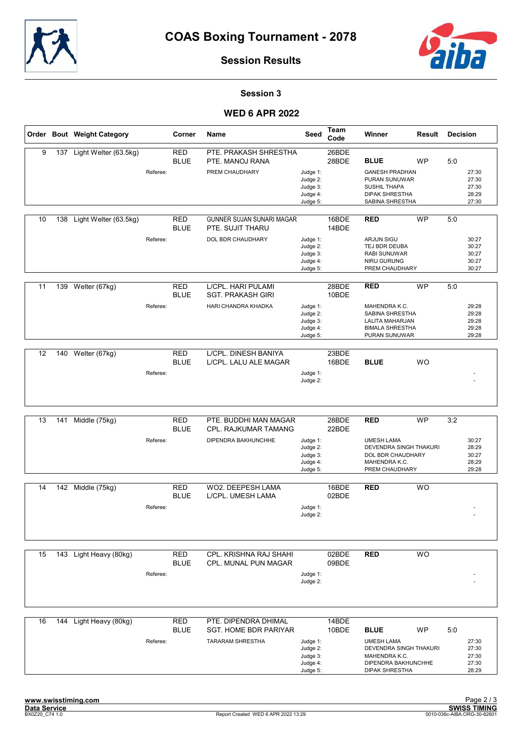



Session 3

## **WED 6 APR 2022**

|    |     | Order Bout Weight Category |          | Corner                    | Name                                                                     | Seed                                                     | Team<br>Code   | Winner                                                                                                                      | Result    | <b>Decision</b> |                                           |
|----|-----|----------------------------|----------|---------------------------|--------------------------------------------------------------------------|----------------------------------------------------------|----------------|-----------------------------------------------------------------------------------------------------------------------------|-----------|-----------------|-------------------------------------------|
| 9  | 137 | Light Welter (63.5kg)      | Referee: | <b>RED</b><br><b>BLUE</b> | PTE. PRAKASH SHRESTHA<br>PTE. MANOJ RANA<br>PREM CHAUDHARY               | Judge 1:<br>Judge 2:<br>Judge 3:<br>Judge 4:<br>Judge 5: | 26BDE<br>28BDE | <b>BLUE</b><br><b>GANESH PRADHAN</b><br>PURAN SUNUWAR<br><b>SUSHIL THAPA</b><br><b>DIPAK SHRESTHA</b><br>SABINA SHRESTHA    | <b>WP</b> | 5:0             | 27:30<br>27:30<br>27:30<br>28:29<br>27:30 |
| 10 | 138 | Light Welter (63.5kg)      | Referee: | <b>RED</b><br><b>BLUE</b> | GUNNER SUJAN SUNARI MAGAR<br>PTE. SUJIT THARU<br>DOL BDR CHAUDHARY       | Judge 1:<br>Judge 2:<br>Judge 3:<br>Judge 4:<br>Judge 5: | 16BDE<br>14BDE | <b>RED</b><br><b>ARJUN SIGU</b><br>TEJ BDR DEUBA<br><b>RABI SUNUWAR</b><br>NIRU GURUNG<br>PREM CHAUDHARY                    | <b>WP</b> | 5:0             | 30:27<br>30:27<br>30:27<br>30:27<br>30:27 |
| 11 |     | 139 Welter (67kg)          | Referee: | <b>RED</b><br><b>BLUE</b> | L/CPL. HARI PULAMI<br><b>SGT. PRAKASH GIRI</b><br>HARI CHANDRA KHADKA    | Judge 1:<br>Judge 2:<br>Judge 3:<br>Judge 4:<br>Judge 5: | 28BDE<br>10BDE | <b>RED</b><br>MAHENDRA K.C.<br>SABINA SHRESTHA<br><b>LALITA MAHARJAN</b><br><b>BIMALA SHRESTHA</b><br>PURAN SUNUWAR         | <b>WP</b> | 5:0             | 29:28<br>29:28<br>29:28<br>29:28<br>29:28 |
| 12 | 140 | Welter (67kg)              | Referee: | <b>RED</b><br><b>BLUE</b> | L/CPL. DINESH BANIYA<br>L/CPL. LALU ALE MAGAR                            | Judge 1:<br>Judge 2:                                     | 23BDE<br>16BDE | <b>BLUE</b>                                                                                                                 | <b>WO</b> |                 |                                           |
| 13 | 141 | Middle (75kg)              | Referee: | <b>RED</b><br><b>BLUE</b> | PTE. BUDDHI MAN MAGAR<br>CPL. RAJKUMAR TAMANG<br>DIPENDRA BAKHUNCHHE     | Judge 1:<br>Judge 2:<br>Judge 3:<br>Judge 4:<br>Judge 5: | 28BDE<br>22BDE | <b>RED</b><br><b>UMESH LAMA</b><br>DEVENDRA SINGH THAKURI<br>DOL BDR CHAUDHARY<br>MAHENDRA K.C.<br>PREM CHAUDHARY           | <b>WP</b> | 3:2             | 30:27<br>28:29<br>30:27<br>28:29<br>29:28 |
| 14 |     | 142 Middle (75kg)          | Referee: | <b>RED</b><br><b>BLUE</b> | WO2. DEEPESH LAMA<br>L/CPL. UMESH LAMA                                   | Judge 1:<br>Judge 2:                                     | 16BDE<br>02BDE | <b>RED</b>                                                                                                                  | <b>WO</b> |                 |                                           |
| 15 |     | 143 Light Heavy (80kg)     | Referee: | <b>RED</b><br><b>BLUE</b> | CPL. KRISHNA RAJ SHAHI<br>CPL. MUNAL PUN MAGAR                           | Judge 1:<br>Judge 2:                                     | 02BDE<br>09BDE | <b>RED</b>                                                                                                                  | <b>WO</b> |                 |                                           |
| 16 |     | 144 Light Heavy (80kg)     | Referee: | <b>RED</b><br><b>BLUE</b> | PTE. DIPENDRA DHIMAL<br>SGT. HOME BDR PARIYAR<br><b>TARARAM SHRESTHA</b> | Judge 1:<br>Judge 2:<br>Judge 3:<br>Judge 4:<br>Judge 5: | 14BDE<br>10BDE | <b>BLUE</b><br><b>UMESH LAMA</b><br>DEVENDRA SINGH THAKURI<br>MAHENDRA K.C.<br>DIPENDRA BAKHUNCHHE<br><b>DIPAK SHRESTHA</b> | WP        | 5:0             | 27:30<br>27:30<br>27:30<br>27:30<br>28:29 |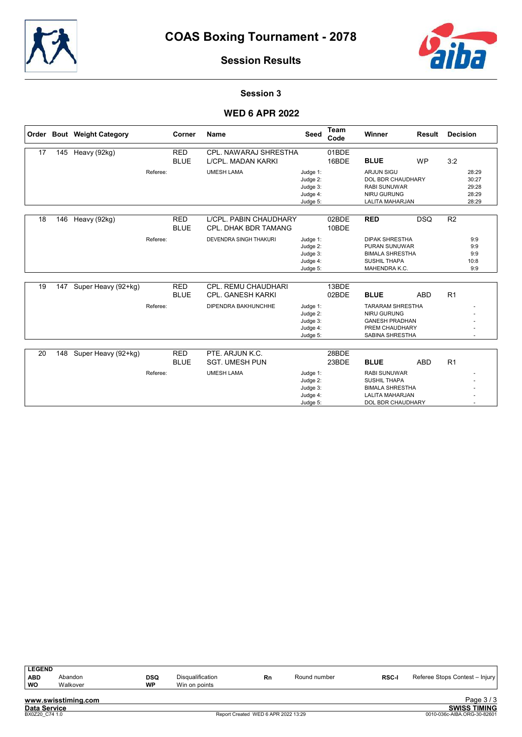



### Session 3

## **WED 6 APR 2022**

|    |     | Order Bout Weight Category |          | Corner                    | <b>Name</b>                                           | Seed                                                     | <b>Team</b><br>Code | Winner                                                                                                              | Result     | <b>Decision</b> |                                           |
|----|-----|----------------------------|----------|---------------------------|-------------------------------------------------------|----------------------------------------------------------|---------------------|---------------------------------------------------------------------------------------------------------------------|------------|-----------------|-------------------------------------------|
| 17 | 145 | Heavy (92kg)               |          | <b>RED</b><br><b>BLUE</b> | <b>CPL. NAWARAJ SHRESTHA</b><br>L/CPL. MADAN KARKI    |                                                          | 01BDE<br>16BDE      | <b>BLUE</b>                                                                                                         | <b>WP</b>  | 3:2             |                                           |
|    |     |                            | Referee: |                           | <b>UMESH LAMA</b>                                     | Judge 1:<br>Judge 2:<br>Judge 3:<br>Judge 4:<br>Judge 5: |                     | <b>ARJUN SIGU</b><br><b>DOL BDR CHAUDHARY</b><br><b>RABI SUNUWAR</b><br><b>NIRU GURUNG</b><br>LALITA MAHARJAN       |            |                 | 28:29<br>30:27<br>29:28<br>28:29<br>28:29 |
| 18 | 146 | Heavy (92kg)               |          | <b>RED</b><br><b>BLUE</b> | L/CPL. PABIN CHAUDHARY<br><b>CPL. DHAK BDR TAMANG</b> |                                                          | 02BDE<br>10BDE      | <b>RED</b>                                                                                                          | <b>DSQ</b> | R <sub>2</sub>  |                                           |
|    |     |                            | Referee: |                           | <b>DEVENDRA SINGH THAKURI</b>                         | Judge 1:<br>Judge 2:<br>Judge 3:<br>Judge 4:<br>Judge 5: |                     | <b>DIPAK SHRESTHA</b><br><b>PURAN SUNUWAR</b><br><b>BIMALA SHRESTHA</b><br><b>SUSHIL THAPA</b><br>MAHENDRA K.C.     |            |                 | 9:9<br>9:9<br>9:9<br>10:8<br>9:9          |
| 19 | 147 | Super Heavy (92+kg)        |          | <b>RED</b><br><b>BLUE</b> | CPL. REMU CHAUDHARI<br><b>CPL. GANESH KARKI</b>       |                                                          | 13BDE<br>02BDE      | <b>BLUE</b>                                                                                                         | <b>ABD</b> | R1              |                                           |
|    |     |                            | Referee: |                           | DIPENDRA BAKHUNCHHE                                   | Judge 1:<br>Judge 2:<br>Judge 3:<br>Judge 4:<br>Judge 5: |                     | <b>TARARAM SHRESTHA</b><br><b>NIRU GURUNG</b><br><b>GANESH PRADHAN</b><br>PREM CHAUDHARY<br>SABINA SHRESTHA         |            |                 |                                           |
| 20 | 148 | Super Heavy (92+kg)        |          | <b>RED</b><br><b>BLUE</b> | PTE. ARJUN K.C.<br><b>SGT. UMESH PUN</b>              |                                                          | 28BDE<br>23BDE      | <b>BLUE</b>                                                                                                         | <b>ABD</b> | R <sub>1</sub>  |                                           |
|    |     |                            | Referee: |                           | <b>UMESH LAMA</b>                                     | Judge 1:<br>Judge 2:<br>Judge 3:<br>Judge 4:<br>Judge 5: |                     | <b>RABI SUNUWAR</b><br><b>SUSHIL THAPA</b><br><b>BIMALA SHRESTHA</b><br><b>LALITA MAHARJAN</b><br>DOL BDR CHAUDHARY |            |                 |                                           |

| <b>LEGEND</b>       |                     |            |                         |    |              |              |                                |
|---------------------|---------------------|------------|-------------------------|----|--------------|--------------|--------------------------------|
| ABD                 | Abandon             | <b>DSQ</b> | <b>Disqualification</b> | Rn | Round number | <b>RSC-I</b> | Referee Stops Contest - Injury |
| l wo                | Walkover            | <b>WP</b>  | Win on points           |    |              |              |                                |
|                     | www.swisstiming.com |            |                         |    |              |              | Page $3/3$                     |
| <b>Data Service</b> |                     |            |                         |    |              |              | <b>SWISS TIMING</b>            |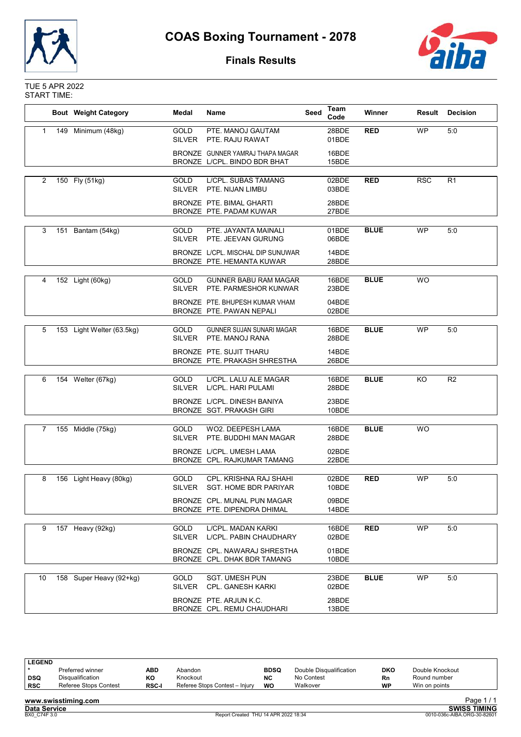



# **Finals Results**

#### TUE 5 APR 2022 START TIME:

|                |     | <b>Bout Weight Category</b> | <b>Name</b><br>Medal         |                                                                  | Seed | Team<br>Code   | Winner      | Result     | <b>Decision</b> |
|----------------|-----|-----------------------------|------------------------------|------------------------------------------------------------------|------|----------------|-------------|------------|-----------------|
| $\mathbf{1}$   | 149 | Minimum (48kg)              | <b>GOLD</b><br><b>SILVER</b> | PTE. MANOJ GAUTAM<br>PTE. RAJU RAWAT                             |      | 28BDE<br>01BDE | <b>RED</b>  | <b>WP</b>  | 5:0             |
|                |     |                             |                              | BRONZE GUNNER YAMRAJ THAPA MAGAR<br>BRONZE L/CPL. BINDO BDR BHAT |      | 16BDE<br>15BDE |             |            |                 |
| 2              |     | 150 Fly (51kg)              | GOLD<br><b>SILVER</b>        | L/CPL. SUBAS TAMANG<br>PTE. NIJAN LIMBU                          |      | 02BDE<br>03BDE | <b>RED</b>  | <b>RSC</b> | R1              |
|                |     |                             |                              | BRONZE PTE. BIMAL GHARTI                                         |      | 28BDE          |             |            |                 |
|                |     |                             |                              | BRONZE PTE. PADAM KUWAR                                          |      | 27BDE          |             |            |                 |
| 3              | 151 | Bantam (54kg)               | <b>GOLD</b><br><b>SILVER</b> | PTE. JAYANTA MAINALI<br>PTE. JEEVAN GURUNG                       |      | 01BDE<br>06BDE | <b>BLUE</b> | <b>WP</b>  | 5:0             |
|                |     |                             |                              | BRONZE L/CPL. MISCHAL DIP SUNUWAR<br>BRONZE PTE. HEMANTA KUWAR   |      | 14BDE<br>28BDE |             |            |                 |
| 4              |     | 152 Light (60kg)            | GOLD<br><b>SILVER</b>        | <b>GUNNER BABU RAM MAGAR</b><br>PTE. PARMESHOR KUNWAR            |      | 16BDE<br>23BDE | <b>BLUE</b> | <b>WO</b>  |                 |
|                |     |                             |                              | BRONZE PTE, BHUPESH KUMAR VHAM<br>BRONZE PTE. PAWAN NEPALI       |      | 04BDE<br>02BDE |             |            |                 |
|                |     |                             |                              |                                                                  |      |                |             |            |                 |
| 5              |     | 153 Light Welter (63.5kg)   | <b>GOLD</b><br><b>SILVER</b> | <b>GUNNER SUJAN SUNARI MAGAR</b><br>PTE. MANOJ RANA              |      | 16BDE<br>28BDE | <b>BLUE</b> | <b>WP</b>  | 5:0             |
|                |     |                             |                              | BRONZE PTE, SUJIT THARU<br>BRONZE PTE. PRAKASH SHRESTHA          |      | 14BDE<br>26BDE |             |            |                 |
|                |     |                             |                              | L/CPL. LALU ALE MAGAR                                            |      |                | <b>BLUE</b> | KO         | R <sub>2</sub>  |
| 6              |     | 154 Welter (67kg)           | GOLD<br><b>SILVER</b>        | L/CPL. HARI PULAMI                                               |      | 16BDE<br>28BDE |             |            |                 |
|                |     |                             |                              | BRONZE L/CPL. DINESH BANIYA<br>BRONZE SGT. PRAKASH GIRI          |      | 23BDE<br>10BDE |             |            |                 |
| $\overline{7}$ |     | 155 Middle (75kg)           | GOLD<br><b>SILVER</b>        | WO2. DEEPESH LAMA<br>PTE. BUDDHI MAN MAGAR                       |      | 16BDE<br>28BDE | <b>BLUE</b> | <b>WO</b>  |                 |
|                |     |                             |                              | BRONZE L/CPL. UMESH LAMA<br>BRONZE CPL. RAJKUMAR TAMANG          |      | 02BDE<br>22BDE |             |            |                 |
|                |     |                             |                              |                                                                  |      |                |             |            |                 |
| 8              |     | 156 Light Heavy (80kg)      | GOLD<br><b>SILVER</b>        | CPL. KRISHNA RAJ SHAHI<br><b>SGT. HOME BDR PARIYAR</b>           |      | 02BDE<br>10BDE | <b>RED</b>  | <b>WP</b>  | 5:0             |
|                |     |                             |                              | BRONZE CPL. MUNAL PUN MAGAR<br>BRONZE PTE. DIPENDRA DHIMAL       |      | 09BDE<br>14BDE |             |            |                 |
|                |     |                             | <b>GOLD</b>                  | L/CPL. MADAN KARKI                                               |      | 16BDE          | <b>RED</b>  | <b>WP</b>  | 5:0             |
| 9              |     | 157 Heavy (92kg)            | <b>SILVER</b>                | L/CPL. PABIN CHAUDHARY                                           |      | 02BDE          |             |            |                 |
|                |     |                             |                              | BRONZE CPL. NAWARAJ SHRESTHA<br>BRONZE CPL. DHAK BDR TAMANG      |      | 01BDE<br>10BDE |             |            |                 |
|                |     |                             |                              |                                                                  |      |                | <b>BLUE</b> |            |                 |
| 10             |     | 158 Super Heavy (92+kg)     | <b>GOLD</b><br><b>SILVER</b> | <b>SGT. UMESH PUN</b><br><b>CPL. GANESH KARKI</b>                |      | 23BDE<br>02BDE |             | WP         | 5:0             |
|                |     |                             |                              | BRONZE PTE. ARJUN K.C.<br>BRONZE CPL. REMU CHAUDHARI             |      | 28BDE<br>13BDE |             |            |                 |

| l LEGEND            |                       |              |                                      |             |                         |           |                             |  |
|---------------------|-----------------------|--------------|--------------------------------------|-------------|-------------------------|-----------|-----------------------------|--|
|                     | Preferred winner      | ABD          | Abandon                              | <b>BDSQ</b> | Double Disqualification | DKO       | Double Knockout             |  |
| DSQ                 | Disqualification      | KO           | Knockout                             | NC          | No Contest              | Rn        | Round number                |  |
| RSC                 | Referee Stops Contest | <b>RSC-I</b> | Referee Stops Contest - Injury       | WO          | Walkover                | <b>WP</b> | Win on points               |  |
|                     | www.swisstiming.com   |              |                                      |             |                         |           | Page $1/1$                  |  |
| <b>Data Service</b> |                       |              |                                      |             |                         |           | <b>SWISS TIMING</b>         |  |
| BX0 C74F 3.0        |                       |              | Report Created THU 14 APR 2022 18:34 |             |                         |           | 0010-036c-AIBA.ORG-30-82601 |  |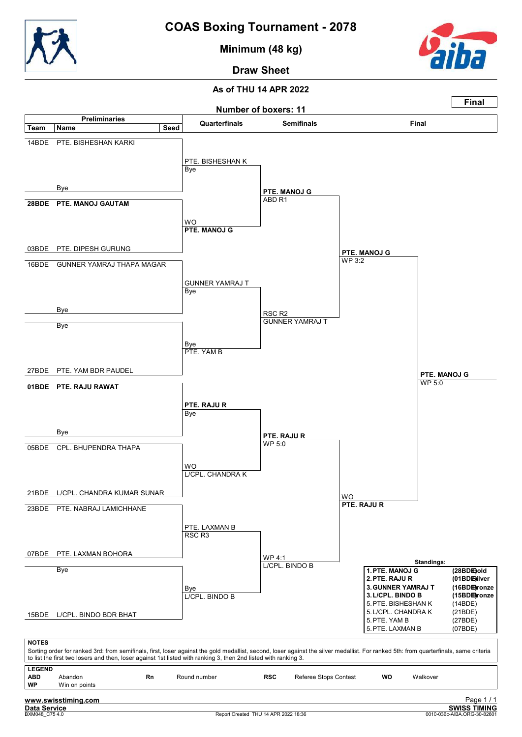

Minimum (48 kg)



Draw Sheet

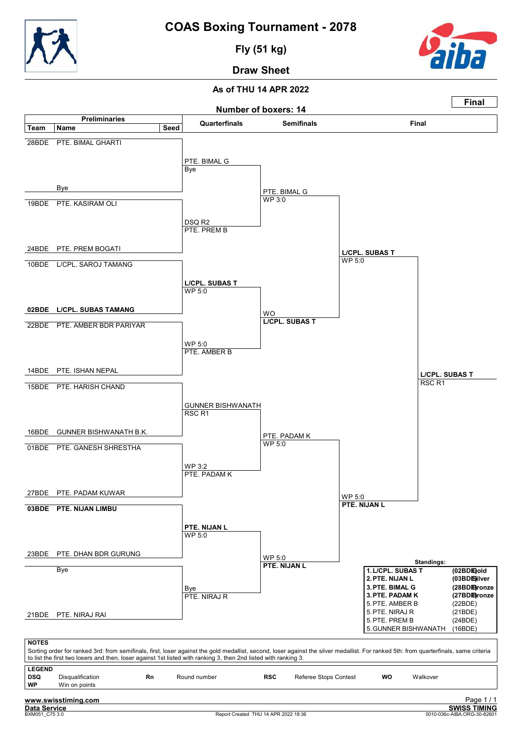

Fly (51 kg)



Draw Sheet

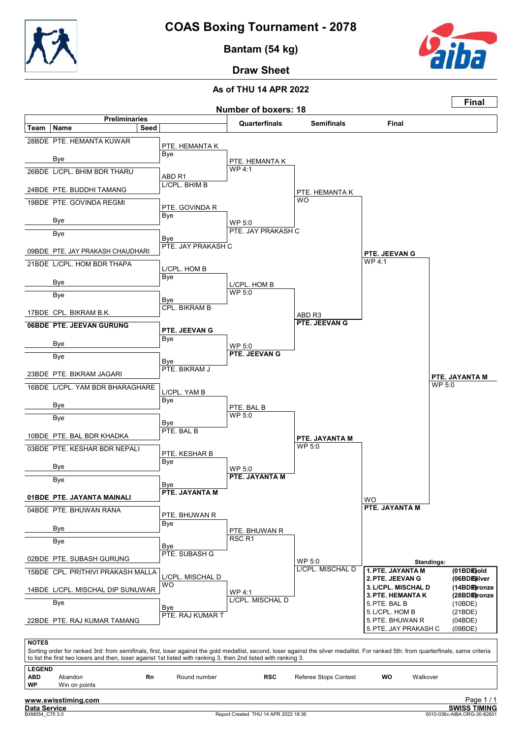

Bantam (54 kg)



Draw Sheet

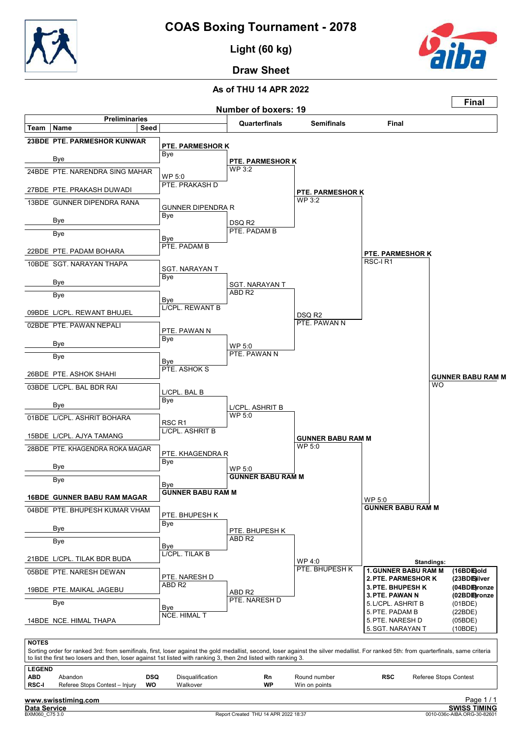

Light (60 kg)



Draw Sheet

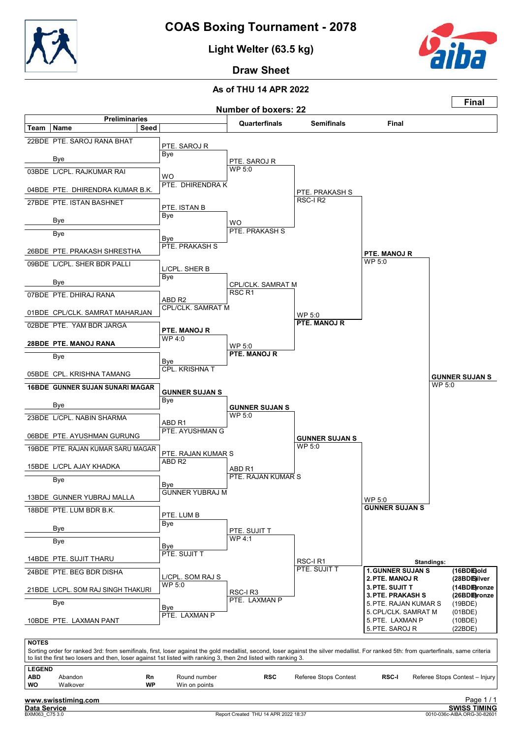

Light Welter (63.5 kg)



Draw Sheet

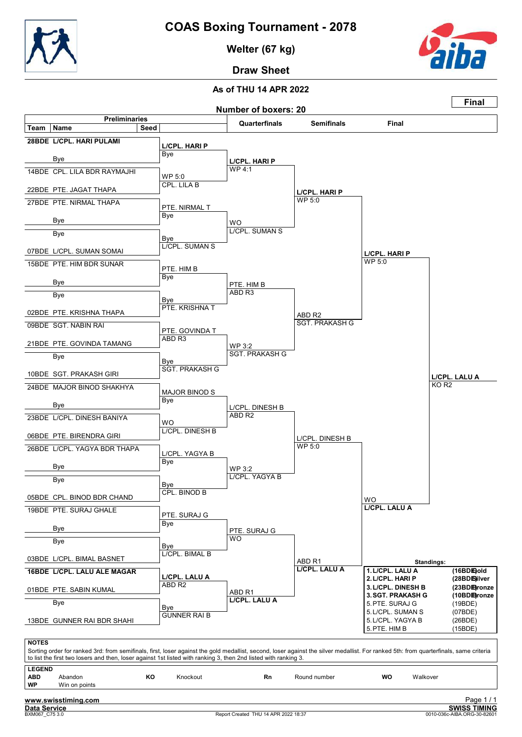

Welter (67 kg)



Draw Sheet

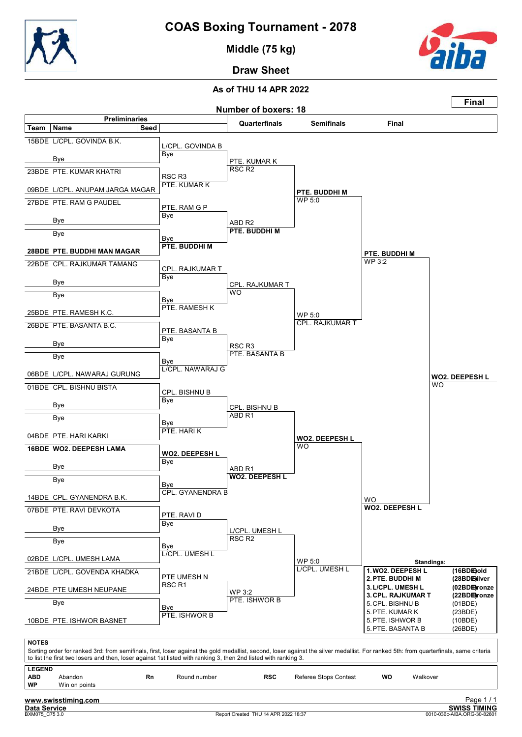

Middle (75 kg)



Draw Sheet

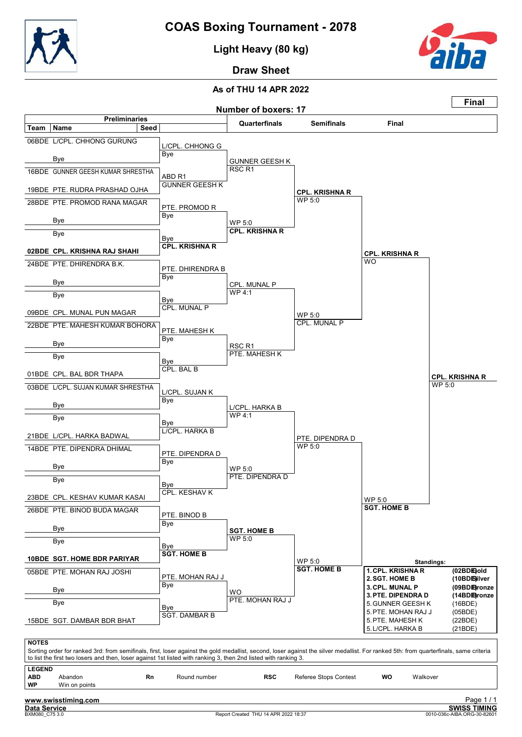

Light Heavy (80 kg)



Draw Sheet

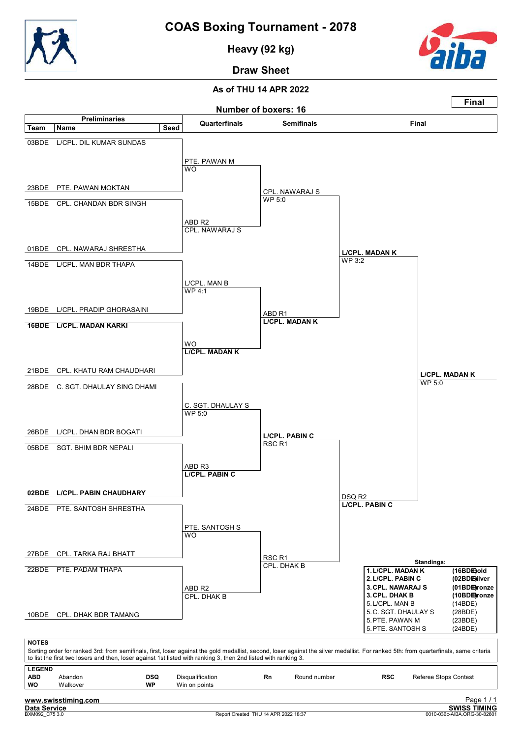

Heavy (92 kg)



Draw Sheet

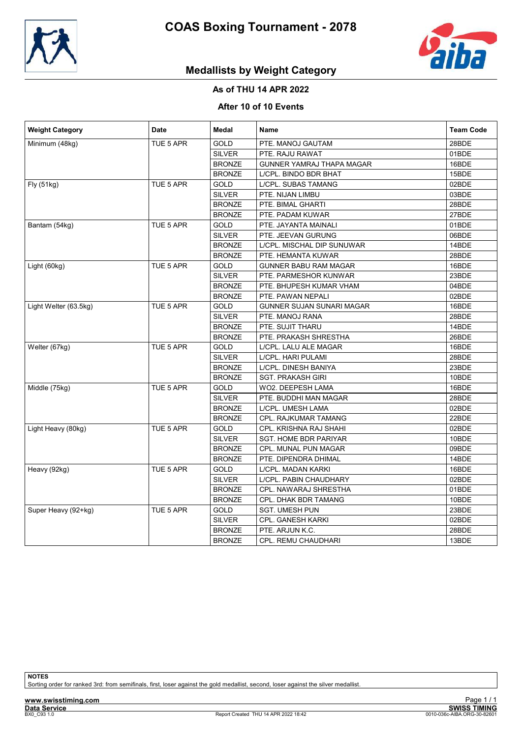



# Medallists by Weight Category

## As of THU 14 APR 2022

### After 10 of 10 Events

| <b>Weight Category</b> | Date      | Medal         | Name                         | <b>Team Code</b> |
|------------------------|-----------|---------------|------------------------------|------------------|
| Minimum (48kg)         | TUE 5 APR | <b>GOLD</b>   | PTE. MANOJ GAUTAM            | 28BDE            |
|                        |           | <b>SILVER</b> | PTE. RAJU RAWAT              | 01BDE            |
|                        |           | <b>BRONZE</b> | GUNNER YAMRAJ THAPA MAGAR    | 16BDE            |
|                        |           | <b>BRONZE</b> | L/CPL. BINDO BDR BHAT        | 15BDE            |
| Fly (51kg)             | TUE 5 APR | <b>GOLD</b>   | L/CPL. SUBAS TAMANG          | 02BDE            |
|                        |           | <b>SILVER</b> | PTE. NIJAN LIMBU             | 03BDE            |
|                        |           | <b>BRONZE</b> | PTE. BIMAL GHARTI            | 28BDE            |
|                        |           | <b>BRONZE</b> | PTE. PADAM KUWAR             | 27BDE            |
| Bantam (54kg)          | TUE 5 APR | <b>GOLD</b>   | PTE. JAYANTA MAINALI         | 01BDE            |
|                        |           | <b>SILVER</b> | PTE. JEEVAN GURUNG           | 06BDE            |
|                        |           | <b>BRONZE</b> | L/CPL. MISCHAL DIP SUNUWAR   | 14BDE            |
|                        |           | <b>BRONZE</b> | PTE. HEMANTA KUWAR           | 28BDE            |
| Light (60kg)           | TUE 5 APR | <b>GOLD</b>   | <b>GUNNER BABU RAM MAGAR</b> | 16BDE            |
|                        |           | <b>SILVER</b> | PTE. PARMESHOR KUNWAR        | 23BDE            |
|                        |           | <b>BRONZE</b> | PTE. BHUPESH KUMAR VHAM      | 04BDE            |
|                        |           | <b>BRONZE</b> | PTE. PAWAN NEPALI            | 02BDE            |
| Light Welter (63.5kg)  | TUE 5 APR | <b>GOLD</b>   | GUNNER SUJAN SUNARI MAGAR    | 16BDE            |
|                        |           | <b>SILVER</b> | PTE. MANOJ RANA              | 28BDE            |
|                        |           | <b>BRONZE</b> | PTE. SUJIT THARU             | 14BDE            |
|                        |           | <b>BRONZE</b> | PTE. PRAKASH SHRESTHA        | 26BDE            |
| Welter (67kg)          | TUE 5 APR | GOLD          | L/CPL. LALU ALE MAGAR        | 16BDE            |
|                        |           | <b>SILVER</b> | L/CPL. HARI PULAMI           | 28BDE            |
|                        |           | <b>BRONZE</b> | L/CPL. DINESH BANIYA         | 23BDE            |
|                        |           | <b>BRONZE</b> | <b>SGT. PRAKASH GIRI</b>     | 10BDE            |
| Middle (75kg)          | TUE 5 APR | GOLD          | WO2. DEEPESH LAMA            | 16BDE            |
|                        |           | <b>SILVER</b> | PTE. BUDDHI MAN MAGAR        | 28BDE            |
|                        |           | <b>BRONZE</b> | L/CPL. UMESH LAMA            | 02BDE            |
|                        |           | <b>BRONZE</b> | CPL. RAJKUMAR TAMANG         | 22BDE            |
| Light Heavy (80kg)     | TUE 5 APR | <b>GOLD</b>   | CPL. KRISHNA RAJ SHAHI       | 02BDE            |
|                        |           | <b>SILVER</b> | <b>SGT. HOME BDR PARIYAR</b> | 10BDE            |
|                        |           | <b>BRONZE</b> | CPL. MUNAL PUN MAGAR         | 09BDE            |
|                        |           | <b>BRONZE</b> | PTE. DIPENDRA DHIMAL         | 14BDE            |
| Heavy (92kg)           | TUE 5 APR | <b>GOLD</b>   | L/CPL. MADAN KARKI           | 16BDE            |
|                        |           | <b>SILVER</b> | L/CPL. PABIN CHAUDHARY       | 02BDE            |
|                        |           | <b>BRONZE</b> | CPL. NAWARAJ SHRESTHA        | 01BDE            |
|                        |           | <b>BRONZE</b> | CPL. DHAK BDR TAMANG         | 10BDE            |
| Super Heavy (92+kg)    | TUE 5 APR | <b>GOLD</b>   | <b>SGT. UMESH PUN</b>        | 23BDE            |
|                        |           | <b>SILVER</b> | CPL. GANESH KARKI            | 02BDE            |
|                        |           | <b>BRONZE</b> | PTE. ARJUN K.C.              | 28BDE            |
|                        |           | <b>BRONZE</b> | CPL. REMU CHAUDHARI          | 13BDE            |

**NOTES** 

Sorting order for ranked 3rd: from semifinals, first, loser against the gold medallist, second, loser against the silver medallist.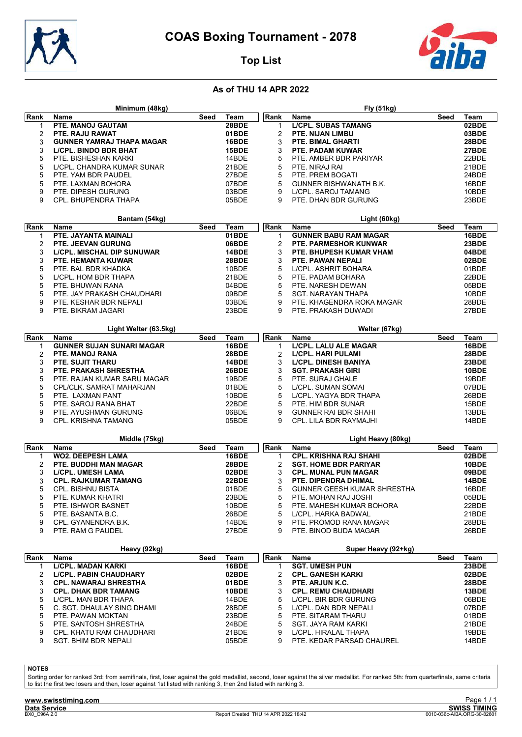

Minimum (48kg)



┑

Fly (51kg)

# Top List

## As of THU 14 APR 2022

| Rank           | Name                                               | Seed | Team           | Rank         | Name                                                     | Seed | Team           |  |  |
|----------------|----------------------------------------------------|------|----------------|--------------|----------------------------------------------------------|------|----------------|--|--|
| 1              | PTE. MANOJ GAUTAM                                  |      | 28BDE          | 1            | <b>L/CPL. SUBAS TAMANG</b>                               |      | 02BDE          |  |  |
| $\overline{2}$ | PTE. RAJU RAWAT                                    |      | 01BDE          | 2            | PTE. NIJAN LIMBU                                         |      | 03BDE          |  |  |
| 3              | <b>GUNNER YAMRAJ THAPA MAGAR</b>                   |      | 16BDE          | 3            | PTE. BIMAL GHARTI                                        |      | 28BDE          |  |  |
| 3              | <b>LICPL. BINDO BDR BHAT</b>                       |      | 15BDE          | 3            | PTE. PADAM KUWAR                                         |      | 27BDE          |  |  |
| 5              | PTE. BISHESHAN KARKI                               |      | 14BDE          | 5            | PTE. AMBER BDR PARIYAR                                   |      | 22BDE          |  |  |
| 5              | L/CPL. CHANDRA KUMAR SUNAR                         |      | 21BDE          | 5            | PTE. NIRAJ RAI                                           |      | 21BDE          |  |  |
| 5              | PTE. YAM BDR PAUDEL                                |      | 27BDE          | 5            | PTE. PREM BOGATI                                         |      | 24BDE          |  |  |
| 5              | PTE. LAXMAN BOHORA                                 |      | 07BDE          | 5            | <b>GUNNER BISHWANATH B.K.</b>                            |      | 16BDE          |  |  |
| 9              | PTE. DIPESH GURUNG                                 |      | 03BDE          | 9            | L/CPL. SAROJ TAMANG                                      |      | 10BDE          |  |  |
| 9              | CPL. BHUPENDRA THAPA                               |      | 05BDE          | 9            | PTE. DHAN BDR GURUNG                                     |      | 23BDE          |  |  |
|                |                                                    |      |                |              |                                                          |      |                |  |  |
|                | Bantam (54kg)                                      |      |                |              | Light (60kg)                                             |      |                |  |  |
| Rank           | <b>Name</b>                                        | Seed | Team           | Rank         | Name                                                     | Seed | Team           |  |  |
| 1              | PTE. JAYANTA MAINALI                               |      | 01BDE          | $\mathbf{1}$ | <b>GUNNER BABU RAM MAGAR</b>                             |      | 16BDE          |  |  |
| 2              | PTE. JEEVAN GURUNG                                 |      | 06BDE          | 2            | PTE. PARMESHOR KUNWAR                                    |      | 23BDE          |  |  |
| 3              | LICPL. MISCHAL DIP SUNUWAR                         |      | 14BDE          | 3            | PTE. BHUPESH KUMAR VHAM                                  |      | 04BDE          |  |  |
| 3              | PTE. HEMANTA KUWAR                                 |      | 28BDE          | 3            | PTE. PAWAN NEPALI                                        |      | 02BDE          |  |  |
| 5              | PTE. BAL BDR KHADKA                                |      | 10BDE          | 5            | L/CPL. ASHRIT BOHARA                                     |      | 01BDE          |  |  |
| 5              | L/CPL. HOM BDR THAPA                               |      | 21BDE          | 5            | PTE. PADAM BOHARA                                        |      | 22BDE          |  |  |
| 5              | PTE. BHUWAN RANA                                   |      | 04BDE          | 5            | PTE. NARESH DEWAN                                        |      | 05BDE          |  |  |
| 5              | PTE. JAY PRAKASH CHAUDHARI                         |      | 09BDE          | 5            | SGT. NARAYAN THAPA                                       |      | 10BDE          |  |  |
| 9              | PTE. KESHAR BDR NEPALI                             |      | 03BDE          | 9            | PTE. KHAGENDRA ROKA MAGAR                                |      | 28BDE          |  |  |
| 9              | PTE. BIKRAM JAGARI                                 |      | 23BDE          | 9            | PTE. PRAKASH DUWADI                                      |      | 27BDE          |  |  |
|                |                                                    |      |                |              |                                                          |      |                |  |  |
|                | Light Welter (63.5kg)                              |      |                |              | Welter (67kg)                                            |      |                |  |  |
| Rank           | <b>Name</b>                                        | Seed | Team           | Rank         | Name                                                     | Seed | Team           |  |  |
| 1              | <b>GUNNER SUJAN SUNARI MAGAR</b>                   |      | 16BDE<br>28BDE | $\mathbf{1}$ | <b>L/CPL. LALU ALE MAGAR</b>                             |      | 16BDE          |  |  |
| 2<br>3         | PTE. MANOJ RANA                                    |      | 14BDE          | 2<br>3       | <b>L/CPL. HARI PULAMI</b><br><b>L/CPL. DINESH BANIYA</b> |      | 28BDE<br>23BDE |  |  |
| 3              | PTE. SUJIT THARU<br>PTE. PRAKASH SHRESTHA          |      | 26BDE          | 3            | <b>SGT. PRAKASH GIRI</b>                                 |      | 10BDE          |  |  |
| 5              |                                                    |      | 19BDE          | 5            | PTE. SURAJ GHALE                                         |      | 19BDE          |  |  |
| 5              | PTE. RAJAN KUMAR SARU MAGAR                        |      | 01BDE          | 5            | L/CPL. SUMAN SOMAI                                       |      | 07BDE          |  |  |
| 5              | CPL/CLK. SAMRAT MAHARJAN                           |      | 10BDE          | 5            | L/CPL. YAGYA BDR THAPA                                   |      | 26BDE          |  |  |
| 5              | PTE. LAXMAN PANT                                   |      | 22BDE          | 5            |                                                          |      |                |  |  |
| 9              | PTE. SAROJ RANA BHAT                               |      | 06BDE          | 9            | PTE. HIM BDR SUNAR                                       |      | 15BDE          |  |  |
| 9              | PTE. AYUSHMAN GURUNG<br><b>CPL. KRISHNA TAMANG</b> |      | 05BDE          | 9            | <b>GUNNER RAI BDR SHAHI</b>                              |      | 13BDE<br>14BDE |  |  |
|                |                                                    |      |                |              | CPL. LILA BDR RAYMAJHI                                   |      |                |  |  |
|                | Middle (75kg)                                      |      |                |              | Light Heavy (80kg)                                       |      |                |  |  |
| Rank           | <b>Name</b>                                        | Seed | Team           | Rank         | <b>Name</b>                                              | Seed | Team           |  |  |
| 1              | <b>WO2. DEEPESH LAMA</b>                           |      | 16BDE          | 1            | <b>CPL. KRISHNA RAJ SHAHI</b>                            |      | 02BDE          |  |  |
| 2              | PTE. BUDDHI MAN MAGAR                              |      | 28BDE          | 2            | <b>SGT. HOME BDR PARIYAR</b>                             |      | 10BDE          |  |  |
| 3              | <b>L/CPL. UMESH LAMA</b>                           |      | 02BDE          | 3            | <b>CPL. MUNAL PUN MAGAR</b>                              |      | 09BDE          |  |  |
| 3              | <b>CPL. RAJKUMAR TAMANG</b>                        |      | 22BDE          | 3            | PTE. DIPENDRA DHIMAL                                     |      | 14BDE          |  |  |
| 5              | <b>CPL. BISHNU BISTA</b>                           |      | 01BDE          | 5            | <b>GUNNER GEESH KUMAR SHRESTHA</b>                       |      | 16BDE          |  |  |
| 5              | PTE. KUMAR KHATRI                                  |      | 23BDE          | 5            | PTE. MOHAN RAJ JOSHI                                     |      | 05BDE          |  |  |
| 5              | PTE. ISHWOR BASNET                                 |      | 10BDE          | 5            | PTE. MAHESH KUMAR BOHORA                                 |      | 22BDE          |  |  |
| 5              | PTE. BASANTA B.C.                                  |      | 26BDE          | 5            | L/CPL. HARKA BADWAL                                      |      | 21BDE          |  |  |
| 9              | CPL. GYANENDRA B.K.                                |      | 14BDE          | 9            | PTE. PROMOD RANA MAGAR                                   |      | 28BDE          |  |  |
| 9              | PTE. RAM G PAUDEL                                  |      | 27BDE          | 9            | PTE. BINOD BUDA MAGAR                                    |      | 26BDE          |  |  |
|                |                                                    |      |                |              |                                                          |      |                |  |  |
|                | Heavy (92kg)                                       |      |                |              | Super Heavy (92+kg)                                      |      |                |  |  |
| Rank           | Name                                               | Seed | Team           | Rank         | Name                                                     | Seed | Team           |  |  |
| 1              | <b>L/CPL. MADAN KARKI</b>                          |      | 16BDE          | 1            | <b>SGT. UMESH PUN</b>                                    |      | 23BDE          |  |  |
| 2              | <b>L/CPL. PABIN CHAUDHARY</b>                      |      | 02BDE          | 2            | <b>CPL. GANESH KARKI</b>                                 |      | 02BDE          |  |  |
| 3              | <b>CPL. NAWARAJ SHRESTHA</b>                       |      | 01BDE          | 3            | PTE. ARJUN K.C.                                          |      | 28BDE          |  |  |
| 3              | <b>CPL. DHAK BDR TAMANG</b>                        |      | 10BDE          | 3            | <b>CPL. REMU CHAUDHARI</b>                               |      | 13BDE          |  |  |
| 5              | L/CPL. MAN BDR THAPA                               |      | 14BDE          | 5            | LICPL. BIR BDR GURUNG                                    |      | 06BDE<br>07BDE |  |  |
| 5              | C. SGT. DHAULAY SING DHAMI                         |      | 28BDE          |              | 5<br>LICPL. DAN BDR NEPALI                               |      |                |  |  |
| 5              | PTE. PAWAN MOKTAN                                  |      | 23BDE          |              | 5<br>PTE. SITARAM THARU<br>01BDE                         |      |                |  |  |
| 5              | PTE. SANTOSH SHRESTHA                              |      | 24BDE          | 5            | SGT. JAYA RAM KARKI                                      |      | 21BDE          |  |  |
| 9              | CPL. KHATU RAM CHAUDHARI                           |      | 21BDE          | 9            | L/CPL. HIRALAL THAPA                                     |      | 19BDE          |  |  |
| 9              | <b>SGT. BHIM BDR NEPALI</b>                        |      | 05BDE          | 9            | PTE. KEDAR PARSAD CHAUREL                                |      | 14BDE          |  |  |
|                |                                                    |      |                |              |                                                          |      |                |  |  |

**NOTES** 

Sorting order for ranked 3rd: from semifinals, first, loser against the gold medallist, second, loser against the silver medallist. For ranked 5th: from quarterfinals, same criteria<br>to list the first two losers and then, l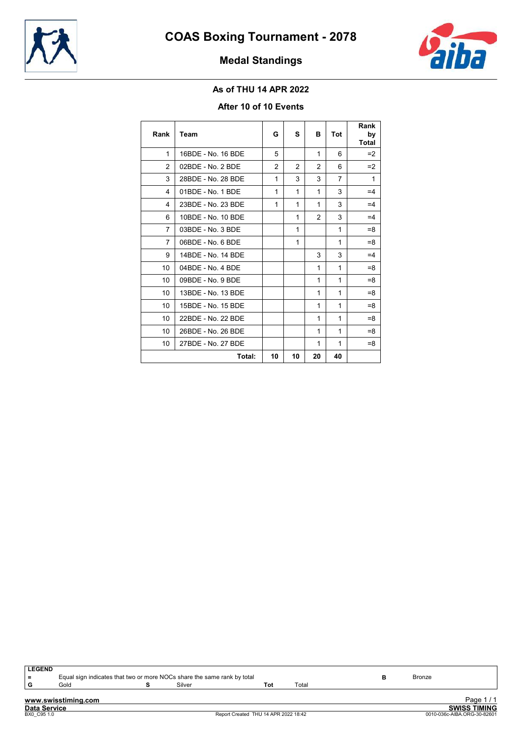



# Medal Standings

## As of THU 14 APR 2022

## After 10 of 10 Events

| Rank           | Team                | G  | s            | в            | <b>Tot</b> | Rank<br>by<br><b>Total</b> |
|----------------|---------------------|----|--------------|--------------|------------|----------------------------|
| 1              | 16BDE - No. 16 BDE  | 5  |              | 1            | 6          | $=2$                       |
| 2              | $02BDE - No. 2 BDE$ | 2  | 2            | 2            | 6          | $=2$                       |
| 3              | 28BDE - No. 28 BDE  | 1  | 3            | 3            | 7          | 1                          |
| 4              | 01BDE - No. 1 BDE   | 1  | $\mathbf{1}$ | $\mathbf{1}$ | 3          | $=4$                       |
| 4              | 23BDE - No. 23 BDE  | 1  | 1            | $\mathbf{1}$ | 3          | $=4$                       |
| 6              | 10BDE - No. 10 BDE  |    | 1            | 2            | 3          | $=4$                       |
| 7              | 03BDE - No. 3 BDE   |    | 1            |              | 1          | $=8$                       |
| $\overline{7}$ | $06BDE - No. 6 BDE$ |    | 1            |              | 1          | $=8$                       |
| 9              | 14BDE - No. 14 BDE  |    |              | 3            | 3          | $=4$                       |
| 10             | $04BDE - No. 4 BDE$ |    |              | 1            | 1          | $=8$                       |
| 10             | 09BDE - No. 9 BDE   |    |              | 1            | 1          | $=8$                       |
| 10             | 13BDE - No. 13 BDE  |    |              | 1            | 1          | $=8$                       |
| 10             | 15BDE - No. 15 BDE  |    |              | 1            | 1          | $= 8$                      |
| 10             | 22BDE - No. 22 BDE  |    |              | 1            | 1          | $=8$                       |
| 10             | 26BDE - No. 26 BDE  |    |              | 1            | 1          | $= 8$                      |
| 10             | 27BDE - No. 27 BDE  |    |              | 1            | 1          | $=8$                       |
|                | Total:              | 10 | 10           | 20           | 40         |                            |

www.swisstiming.com Data Service SWISS TIMING Exage T/T<br>
BXVISS TIMING<br>
Report Created THU 14 APR 2022 18:42 0010-036c-AIBA.ORG-30-82601 LEGEND<br>=<br>G Equal sign indicates that two or more NOCs share the same rank by total **B** B B B Bronze<br>Gold **S** Silver **Tot** Total G Gold **S** Silver **S** Silver **Tot** Total Page 1 / 1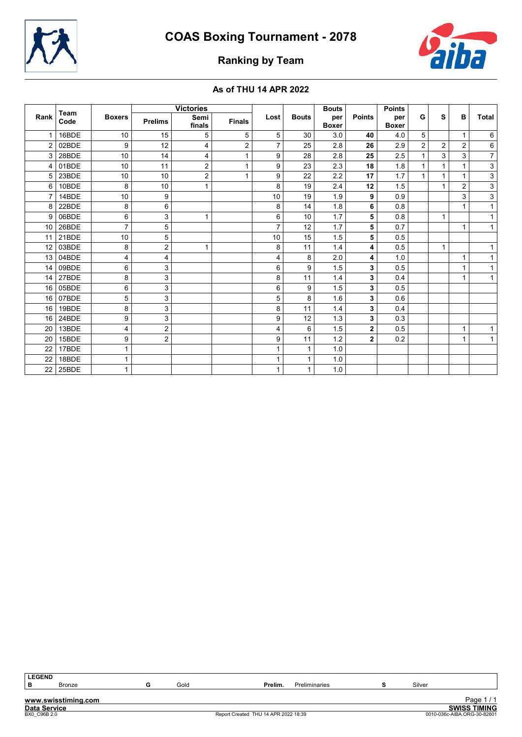



# Ranking by Team

## As of THU 14 APR 2022

|      | Team<br>Code | <b>Boxers</b>  | <b>Victories</b> |                |               |                |              | <b>Bouts</b>        |               | <b>Points</b>       |                |              |                |                           |
|------|--------------|----------------|------------------|----------------|---------------|----------------|--------------|---------------------|---------------|---------------------|----------------|--------------|----------------|---------------------------|
| Rank |              |                | <b>Prelims</b>   | Semi<br>finals | <b>Finals</b> | Lost           | <b>Bouts</b> | per<br><b>Boxer</b> | <b>Points</b> | per<br><b>Boxer</b> | G              | s            | B              | <b>Total</b>              |
|      | 16BDE        | 10             | 15               | 5              | 5             | 5              | 30           | 3.0                 | 40            | 4.0                 | 5              |              |                | 6                         |
| 2    | 02BDE        | 9              | 12               | $\overline{4}$ | 2             | 7              | 25           | 2.8                 | 26            | 2.9                 | $\overline{2}$ | 2            | $\overline{2}$ | $\,6\,$                   |
| 3    | 28BDE        | 10             | 14               | 4              | $\mathbf{1}$  | 9              | 28           | 2.8                 | 25            | 2.5                 | 1              | 3            | 3              | $\overline{7}$            |
| 4    | 01BDE        | 10             | 11               | $\overline{2}$ | 1             | 9              | 23           | 2.3                 | 18            | 1.8                 | $\mathbf{1}$   | $\mathbf{1}$ | 1              | $\mathsf 3$               |
| 5    | 23BDE        | 10             | 10               | $\overline{2}$ | $\mathbf{1}$  | 9              | 22           | 2.2                 | 17            | 1.7                 | $\mathbf{1}$   | $\mathbf{1}$ | 1              | $\overline{3}$            |
| 6    | 10BDE        | 8              | 10               | 1              |               | 8              | 19           | 2.4                 | 12            | 1.5                 |                | $\mathbf{1}$ | $\overline{2}$ | $\overline{3}$            |
| 7    | 14BDE        | 10             | 9                |                |               | 10             | 19           | 1.9                 | 9             | 0.9                 |                |              | 3              | $\overline{\overline{3}}$ |
| 8    | 22BDE        | 8              | 6                |                |               | 8              | 14           | 1.8                 | 6             | 0.8                 |                |              |                | $\mathbf{1}$              |
| 9    | 06BDE        | 6              | 3                | $\mathbf{1}$   |               | 6              | 10           | 1.7                 | 5             | 0.8                 |                | $\mathbf{1}$ |                | 1                         |
| 10   | 26BDE        | $\overline{7}$ | 5                |                |               | $\overline{7}$ | 12           | 1.7                 | 5             | 0.7                 |                |              | 1              | $\mathbf 1$               |
| 11   | 21BDE        | 10             | 5                |                |               | 10             | 15           | 1.5                 | 5             | 0.5                 |                |              |                |                           |
| 12   | 03BDE        | 8              | $\overline{c}$   | $\mathbf{1}$   |               | 8              | 11           | 1.4                 | 4             | 0.5                 |                | $\mathbf{1}$ |                |                           |
| 13   | 04BDE        | 4              | 4                |                |               | 4              | 8            | 2.0                 | 4             | 1.0                 |                |              | 1              |                           |
| 14   | 09BDE        | 6              | $\mathbf{3}$     |                |               | 6              | 9            | 1.5                 | 3             | 0.5                 |                |              |                | 1                         |
| 14   | 27BDE        | 8              | 3                |                |               | 8              | 11           | 1.4                 | 3             | 0.4                 |                |              | 1              | $\mathbf 1$               |
| 16   | 05BDE        | 6              | 3                |                |               | 6              | 9            | 1.5                 | 3             | 0.5                 |                |              |                |                           |
| 16   | 07BDE        | 5              | 3                |                |               | 5              | 8            | 1.6                 | 3             | 0.6                 |                |              |                |                           |
| 16   | 19BDE        | 8              | 3                |                |               | 8              | 11           | 1.4                 | 3             | 0.4                 |                |              |                |                           |
| 16   | 24BDE        | 9              | 3                |                |               | 9              | 12           | 1.3                 | 3             | 0.3                 |                |              |                |                           |
| 20   | 13BDE        | 4              | $\overline{c}$   |                |               | 4              | 6            | 1.5                 | $\mathbf{2}$  | 0.5                 |                |              | 1              | 1                         |
| 20   | 15BDE        | 9              | $\overline{c}$   |                |               | 9              | 11           | $1.2$               | $\mathbf{2}$  | 0.2                 |                |              |                |                           |
| 22   | 17BDE        |                |                  |                |               |                | 1            | 1.0                 |               |                     |                |              |                |                           |
| 22   | 18BDE        | 1              |                  |                |               |                |              | 1.0                 |               |                     |                |              |                |                           |
| 22   | 25BDE        | 1              |                  |                |               | 1              | 1            | 1.0                 |               |                     |                |              |                |                           |

LEGEND<br>B

www.swisstiming.com Data Service SWISS TIMING Page 1 / 1<br>
SWISS TIMING<br>
0010-036c-AIBA.ORG-30-82601